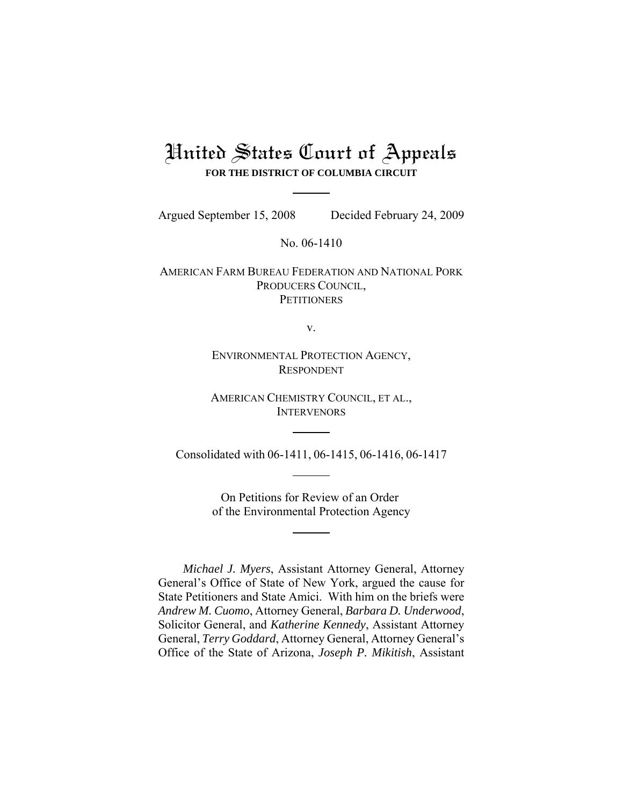# United States Court of Appeals **FOR THE DISTRICT OF COLUMBIA CIRCUIT**

Argued September 15, 2008 Decided February 24, 2009

No. 06-1410

AMERICAN FARM BUREAU FEDERATION AND NATIONAL PORK PRODUCERS COUNCIL, **PETITIONERS** 

v.

ENVIRONMENTAL PROTECTION AGENCY, RESPONDENT

AMERICAN CHEMISTRY COUNCIL, ET AL., **INTERVENORS** 

Consolidated with 06-1411, 06-1415, 06-1416, 06-1417

On Petitions for Review of an Order of the Environmental Protection Agency

*Michael J. Myers*, Assistant Attorney General, Attorney General's Office of State of New York, argued the cause for State Petitioners and State Amici. With him on the briefs were *Andrew M. Cuomo*, Attorney General, *Barbara D. Underwood*, Solicitor General, and *Katherine Kennedy*, Assistant Attorney General, *Terry Goddard*, Attorney General, Attorney General's Office of the State of Arizona, *Joseph P. Mikitish*, Assistant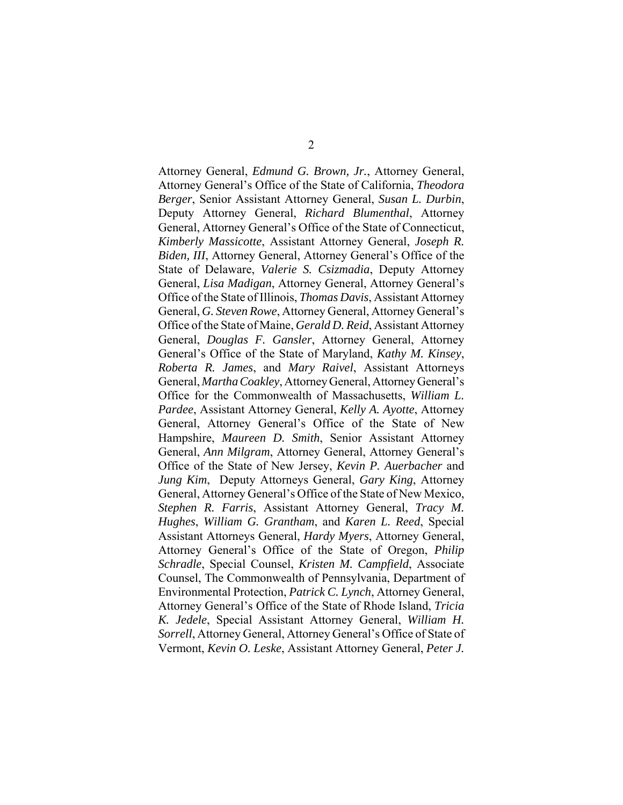Attorney General, *Edmund G. Brown, Jr.*, Attorney General, Attorney General's Office of the State of California, *Theodora Berger*, Senior Assistant Attorney General, *Susan L. Durbin*, Deputy Attorney General, *Richard Blumenthal*, Attorney General, Attorney General's Office of the State of Connecticut, *Kimberly Massicotte*, Assistant Attorney General, *Joseph R. Biden, III*, Attorney General, Attorney General's Office of the State of Delaware, *Valerie S. Csizmadia*, Deputy Attorney General, *Lisa Madigan*, Attorney General, Attorney General's Office of the State of Illinois, *Thomas Davis*, Assistant Attorney General, *G. Steven Rowe*, Attorney General, Attorney General's Office of the State of Maine, *Gerald D. Reid*, Assistant Attorney General, *Douglas F. Gansler*, Attorney General, Attorney General's Office of the State of Maryland, *Kathy M. Kinsey*, *Roberta R. James*, and *Mary Raivel*, Assistant Attorneys General, *Martha Coakley*, Attorney General, Attorney General's Office for the Commonwealth of Massachusetts, *William L. Pardee*, Assistant Attorney General, *Kelly A. Ayotte*, Attorney General, Attorney General's Office of the State of New Hampshire, *Maureen D. Smith*, Senior Assistant Attorney General, *Ann Milgram*, Attorney General, Attorney General's Office of the State of New Jersey, *Kevin P. Auerbacher* and *Jung Kim*, Deputy Attorneys General, *Gary King*, Attorney General, Attorney General's Office of the State of New Mexico, *Stephen R. Farris*, Assistant Attorney General, *Tracy M. Hughes*, *William G. Grantham*, and *Karen L. Reed*, Special Assistant Attorneys General, *Hardy Myers*, Attorney General, Attorney General's Office of the State of Oregon, *Philip Schradle*, Special Counsel, *Kristen M. Campfield*, Associate Counsel, The Commonwealth of Pennsylvania, Department of Environmental Protection, *Patrick C. Lynch*, Attorney General, Attorney General's Office of the State of Rhode Island, *Tricia K. Jedele*, Special Assistant Attorney General, *William H. Sorrell*, Attorney General, Attorney General's Office of State of Vermont, *Kevin O. Leske*, Assistant Attorney General, *Peter J.*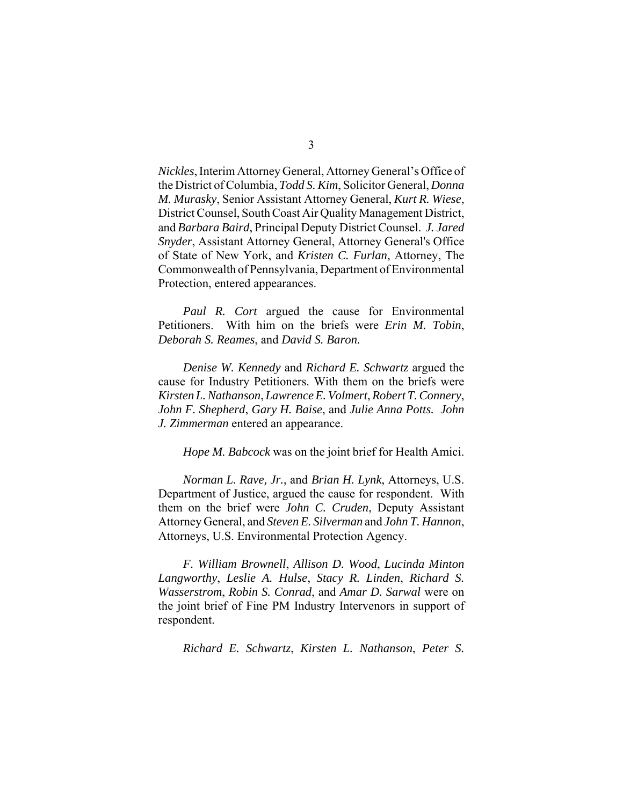*Nickles*, Interim Attorney General, Attorney General's Office of the District of Columbia, *Todd S. Kim*, Solicitor General, *Donna M. Murasky*, Senior Assistant Attorney General, *Kurt R. Wiese*, District Counsel, South Coast Air Quality Management District, and *Barbara Baird*, Principal Deputy District Counsel. *J. Jared Snyder*, Assistant Attorney General, Attorney General's Office of State of New York, and *Kristen C. Furlan*, Attorney, The Commonwealth of Pennsylvania, Department of Environmental Protection, entered appearances.

*Paul R. Cort* argued the cause for Environmental Petitioners. With him on the briefs were *Erin M. Tobin*, *Deborah S. Reames*, and *David S. Baron.*

*Denise W. Kennedy* and *Richard E. Schwartz* argued the cause for Industry Petitioners. With them on the briefs were *Kirsten L. Nathanson*, *Lawrence E. Volmert*, *Robert T. Connery*, *John F. Shepherd*, *Gary H. Baise*, and *Julie Anna Potts. John J. Zimmerman* entered an appearance.

*Hope M. Babcock* was on the joint brief for Health Amici.

*Norman L. Rave, Jr.*, and *Brian H. Lynk*, Attorneys, U.S. Department of Justice, argued the cause for respondent. With them on the brief were *John C. Cruden*, Deputy Assistant Attorney General, and *Steven E. Silverman* and *John T. Hannon*, Attorneys, U.S. Environmental Protection Agency.

*F. William Brownell*, *Allison D. Wood*, *Lucinda Minton Langworthy*, *Leslie A. Hulse*, *Stacy R. Linden*, *Richard S. Wasserstrom*, *Robin S. Conrad*, and *Amar D. Sarwal* were on the joint brief of Fine PM Industry Intervenors in support of respondent.

*Richard E. Schwartz*, *Kirsten L. Nathanson*, *Peter S.*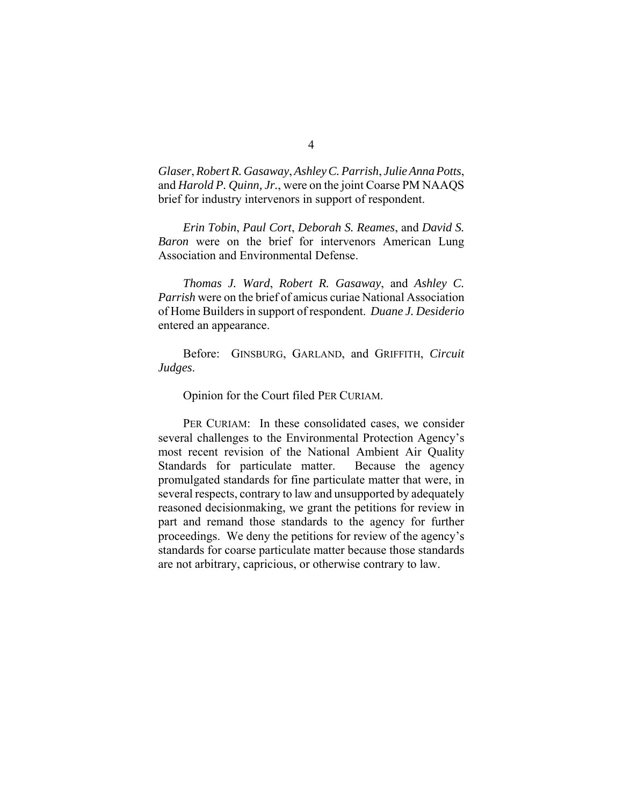*Glaser*, *Robert R. Gasaway*, *Ashley C. Parrish*, *Julie Anna Potts*, and *Harold P. Quinn, Jr.*, were on the joint Coarse PM NAAQS brief for industry intervenors in support of respondent.

*Erin Tobin*, *Paul Cort*, *Deborah S. Reames*, and *David S. Baron* were on the brief for intervenors American Lung Association and Environmental Defense.

*Thomas J. Ward*, *Robert R. Gasaway*, and *Ashley C. Parrish* were on the brief of amicus curiae National Association of Home Builders in support of respondent. *Duane J. Desiderio* entered an appearance.

Before: GINSBURG, GARLAND, and GRIFFITH, *Circuit Judges*.

Opinion for the Court filed PER CURIAM.

PER CURIAM: In these consolidated cases, we consider several challenges to the Environmental Protection Agency's most recent revision of the National Ambient Air Quality Standards for particulate matter. Because the agency promulgated standards for fine particulate matter that were, in several respects, contrary to law and unsupported by adequately reasoned decisionmaking, we grant the petitions for review in part and remand those standards to the agency for further proceedings. We deny the petitions for review of the agency's standards for coarse particulate matter because those standards are not arbitrary, capricious, or otherwise contrary to law.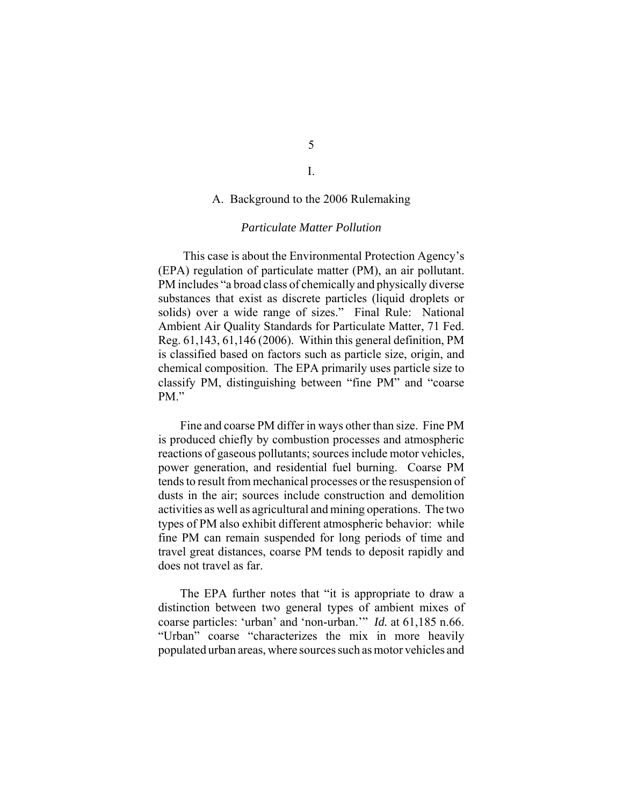# A. Background to the 2006 Rulemaking

# *Particulate Matter Pollution*

This case is about the Environmental Protection Agency's (EPA) regulation of particulate matter (PM), an air pollutant. PM includes "a broad class of chemically and physically diverse substances that exist as discrete particles (liquid droplets or solids) over a wide range of sizes." Final Rule: National Ambient Air Quality Standards for Particulate Matter, 71 Fed. Reg. 61,143, 61,146 (2006). Within this general definition, PM is classified based on factors such as particle size, origin, and chemical composition. The EPA primarily uses particle size to classify PM, distinguishing between "fine PM" and "coarse PM."

Fine and coarse PM differ in ways other than size. Fine PM is produced chiefly by combustion processes and atmospheric reactions of gaseous pollutants; sources include motor vehicles, power generation, and residential fuel burning. Coarse PM tends to result from mechanical processes or the resuspension of dusts in the air; sources include construction and demolition activities as well as agricultural and mining operations. The two types of PM also exhibit different atmospheric behavior: while fine PM can remain suspended for long periods of time and travel great distances, coarse PM tends to deposit rapidly and does not travel as far.

The EPA further notes that "it is appropriate to draw a distinction between two general types of ambient mixes of coarse particles: 'urban' and 'non-urban.'" *Id.* at 61,185 n.66. "Urban" coarse "characterizes the mix in more heavily populated urban areas, where sources such as motor vehicles and

I.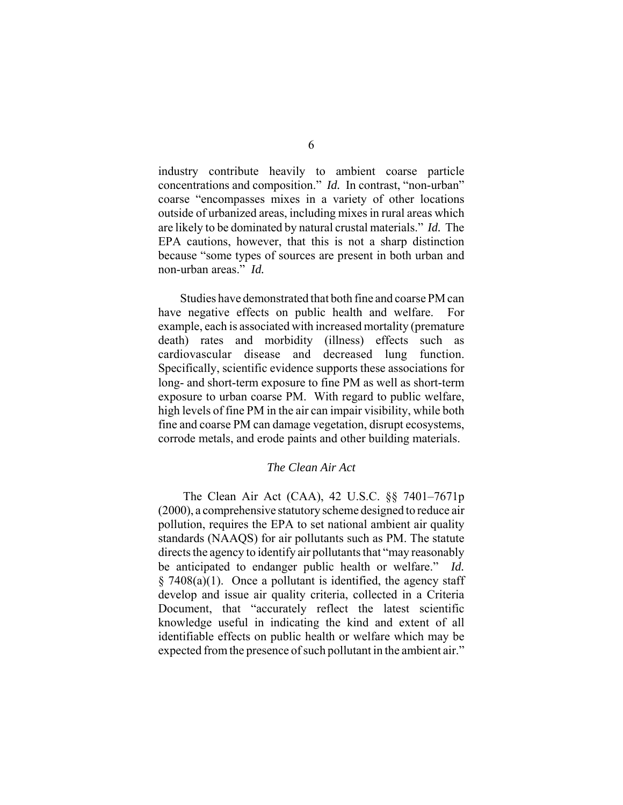industry contribute heavily to ambient coarse particle concentrations and composition." *Id.* In contrast, "non-urban" coarse "encompasses mixes in a variety of other locations outside of urbanized areas, including mixes in rural areas which are likely to be dominated by natural crustal materials." *Id.* The EPA cautions, however, that this is not a sharp distinction because "some types of sources are present in both urban and non-urban areas." *Id.*

Studies have demonstrated that both fine and coarse PM can have negative effects on public health and welfare. For example, each is associated with increased mortality (premature death) rates and morbidity (illness) effects such as cardiovascular disease and decreased lung function. Specifically, scientific evidence supports these associations for long- and short-term exposure to fine PM as well as short-term exposure to urban coarse PM. With regard to public welfare, high levels of fine PM in the air can impair visibility, while both fine and coarse PM can damage vegetation, disrupt ecosystems, corrode metals, and erode paints and other building materials.

# *The Clean Air Act*

The Clean Air Act (CAA), 42 U.S.C. §§ 7401–7671p (2000), a comprehensive statutory scheme designed to reduce air pollution, requires the EPA to set national ambient air quality standards (NAAQS) for air pollutants such as PM. The statute directs the agency to identify air pollutants that "may reasonably be anticipated to endanger public health or welfare." *Id.* § 7408(a)(1). Once a pollutant is identified, the agency staff develop and issue air quality criteria, collected in a Criteria Document, that "accurately reflect the latest scientific knowledge useful in indicating the kind and extent of all identifiable effects on public health or welfare which may be expected from the presence of such pollutant in the ambient air."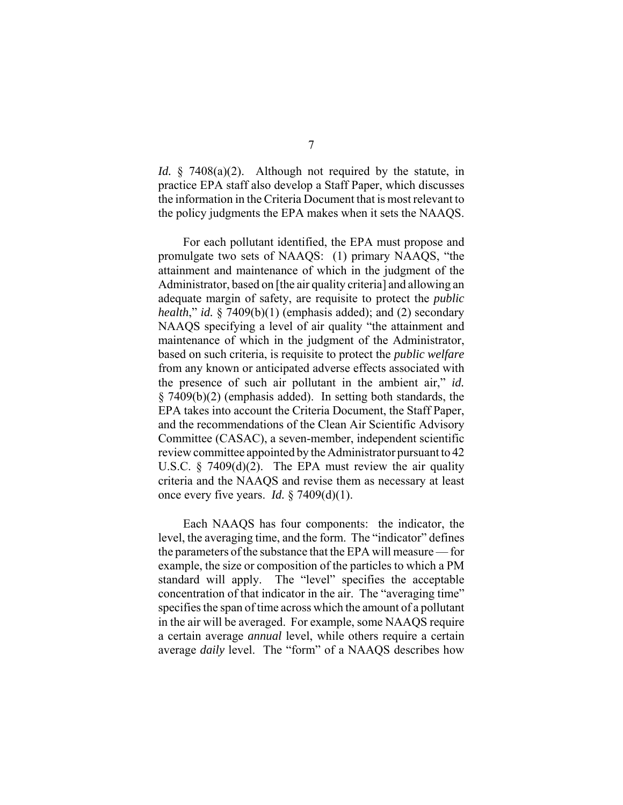*Id.* § 7408(a)(2). Although not required by the statute, in practice EPA staff also develop a Staff Paper, which discusses the information in the Criteria Document that is most relevant to the policy judgments the EPA makes when it sets the NAAQS.

For each pollutant identified, the EPA must propose and promulgate two sets of NAAQS: (1) primary NAAQS, "the attainment and maintenance of which in the judgment of the Administrator, based on [the air quality criteria] and allowing an adequate margin of safety, are requisite to protect the *public health*," *id.* § 7409(b)(1) (emphasis added); and (2) secondary NAAQS specifying a level of air quality "the attainment and maintenance of which in the judgment of the Administrator, based on such criteria, is requisite to protect the *public welfare* from any known or anticipated adverse effects associated with the presence of such air pollutant in the ambient air," *id.* § 7409(b)(2) (emphasis added). In setting both standards, the EPA takes into account the Criteria Document, the Staff Paper, and the recommendations of the Clean Air Scientific Advisory Committee (CASAC), a seven-member, independent scientific review committee appointed by the Administrator pursuant to 42 U.S.C.  $\S$  7409(d)(2). The EPA must review the air quality criteria and the NAAQS and revise them as necessary at least once every five years. *Id.* § 7409(d)(1).

Each NAAQS has four components: the indicator, the level, the averaging time, and the form. The "indicator" defines the parameters of the substance that the EPA will measure — for example, the size or composition of the particles to which a PM standard will apply. The "level" specifies the acceptable concentration of that indicator in the air. The "averaging time" specifies the span of time across which the amount of a pollutant in the air will be averaged. For example, some NAAQS require a certain average *annual* level, while others require a certain average *daily* level. The "form" of a NAAQS describes how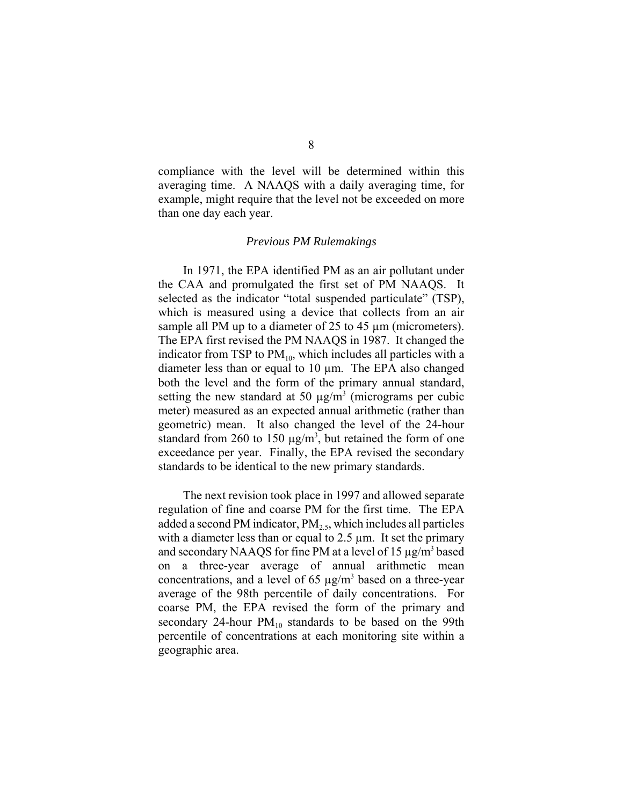compliance with the level will be determined within this averaging time. A NAAQS with a daily averaging time, for example, might require that the level not be exceeded on more than one day each year.

#### *Previous PM Rulemakings*

In 1971, the EPA identified PM as an air pollutant under the CAA and promulgated the first set of PM NAAQS. It selected as the indicator "total suspended particulate" (TSP), which is measured using a device that collects from an air sample all PM up to a diameter of 25 to 45  $\mu$ m (micrometers). The EPA first revised the PM NAAQS in 1987. It changed the indicator from TSP to  $PM_{10}$ , which includes all particles with a diameter less than or equal to 10 µm. The EPA also changed both the level and the form of the primary annual standard, setting the new standard at 50  $\mu$ g/m<sup>3</sup> (micrograms per cubic meter) measured as an expected annual arithmetic (rather than geometric) mean. It also changed the level of the 24-hour standard from 260 to 150  $\mu$ g/m<sup>3</sup>, but retained the form of one exceedance per year. Finally, the EPA revised the secondary standards to be identical to the new primary standards.

The next revision took place in 1997 and allowed separate regulation of fine and coarse PM for the first time. The EPA added a second PM indicator,  $PM<sub>2.5</sub>$ , which includes all particles with a diameter less than or equal to  $2.5 \mu m$ . It set the primary and secondary NAAQS for fine PM at a level of 15 µg/m<sup>3</sup> based on a three-year average of annual arithmetic mean concentrations, and a level of 65  $\mu$ g/m<sup>3</sup> based on a three-year average of the 98th percentile of daily concentrations. For coarse PM, the EPA revised the form of the primary and secondary 24-hour  $PM_{10}$  standards to be based on the 99th percentile of concentrations at each monitoring site within a geographic area.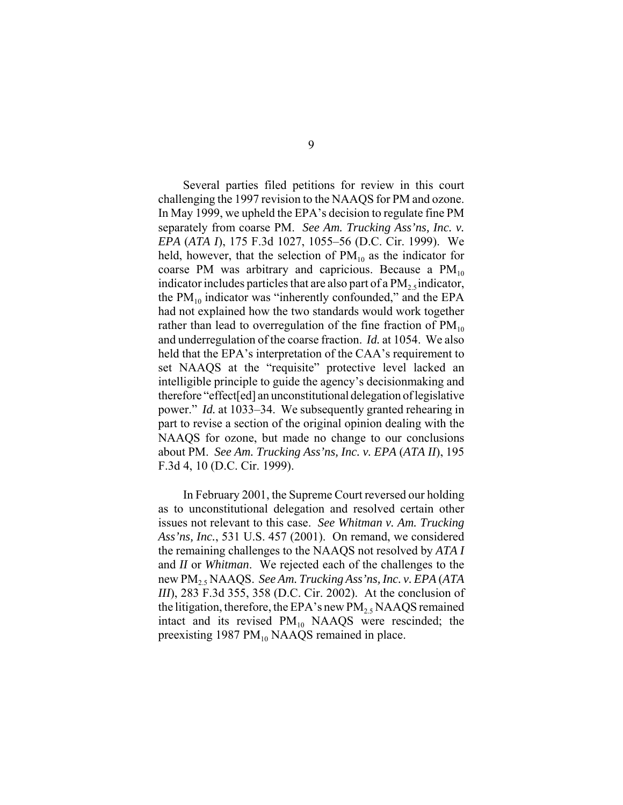Several parties filed petitions for review in this court challenging the 1997 revision to the NAAQS for PM and ozone. In May 1999, we upheld the EPA's decision to regulate fine PM separately from coarse PM. *See Am. Trucking Ass'ns, Inc. v. EPA* (*ATA I*), 175 F.3d 1027, 1055–56 (D.C. Cir. 1999). We held, however, that the selection of  $PM_{10}$  as the indicator for coarse PM was arbitrary and capricious. Because a  $PM_{10}$ indicator includes particles that are also part of a  $PM<sub>2.5</sub>$  indicator, the  $PM_{10}$  indicator was "inherently confounded," and the EPA had not explained how the two standards would work together rather than lead to overregulation of the fine fraction of  $PM_{10}$ and underregulation of the coarse fraction. *Id.* at 1054. We also held that the EPA's interpretation of the CAA's requirement to set NAAQS at the "requisite" protective level lacked an intelligible principle to guide the agency's decisionmaking and therefore "effect[ed] an unconstitutional delegation of legislative power." *Id.* at 1033–34. We subsequently granted rehearing in part to revise a section of the original opinion dealing with the NAAQS for ozone, but made no change to our conclusions about PM. *See Am. Trucking Ass'ns, Inc. v. EPA* (*ATA II*), 195 F.3d 4, 10 (D.C. Cir. 1999).

In February 2001, the Supreme Court reversed our holding as to unconstitutional delegation and resolved certain other issues not relevant to this case. *See Whitman v. Am. Trucking Ass'ns, Inc.*, 531 U.S. 457 (2001). On remand, we considered the remaining challenges to the NAAQS not resolved by *ATA I* and *II* or *Whitman*. We rejected each of the challenges to the new PM2.5 NAAQS. *See Am. Trucking Ass'ns, Inc. v. EPA* (*ATA III*), 283 F.3d 355, 358 (D.C. Cir. 2002). At the conclusion of the litigation, therefore, the EPA's new  $PM_2$ , NAAQS remained intact and its revised  $PM_{10}$  NAAQS were rescinded; the preexisting 1987  $PM_{10}$  NAAQS remained in place.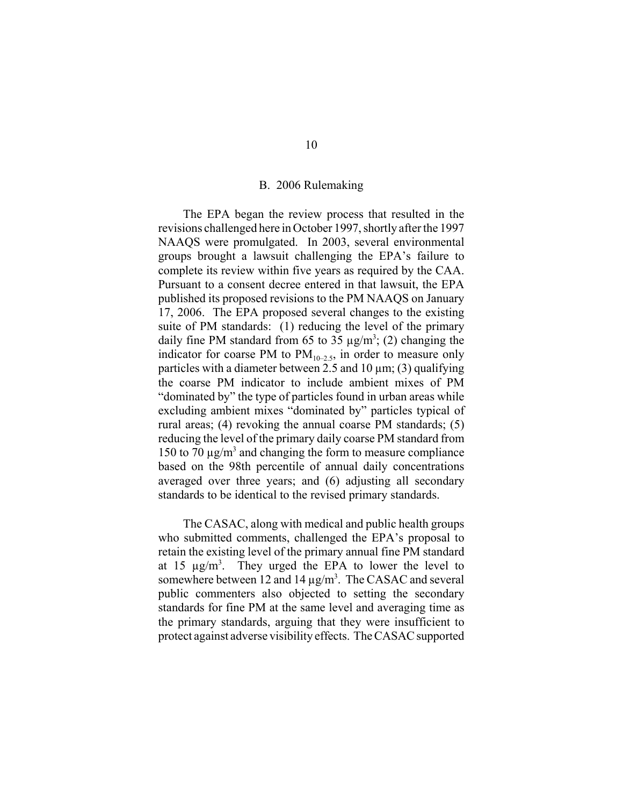# B.2006 Rulemaking

The EPA began the review process that resulted in the revisions challenged here in October 1997, shortly after the 1997 NAAQS were promulgated. In 2003, several environmental groups brought a lawsuit challenging the EPA's failure to complete its review within five years as required by the CAA. Pursuant to a consent decree entered in that lawsuit, the EPA published its proposed revisions to the PM NAAQS on January 17, 2006. The EPA proposed several changes to the existing suite of PM standards: (1) reducing the level of the primary daily fine PM standard from 65 to 35  $\mu$ g/m<sup>3</sup>; (2) changing the indicator for coarse PM to  $PM_{10-2.5}$ , in order to measure only particles with a diameter between 2.5 and 10  $\mu$ m; (3) qualifying the coarse PM indicator to include ambient mixes of PM "dominated by" the type of particles found in urban areas while excluding ambient mixes "dominated by" particles typical of rural areas; (4) revoking the annual coarse PM standards; (5) reducing the level of the primary daily coarse PM standard from 150 to 70  $\mu$ g/m<sup>3</sup> and changing the form to measure compliance based on the 98th percentile of annual daily concentrations averaged over three years; and (6) adjusting all secondary standards to be identical to the revised primary standards.

The CASAC, along with medical and public health groups who submitted comments, challenged the EPA's proposal to retain the existing level of the primary annual fine PM standard at 15  $\mu$ g/m<sup>3</sup>. They urged the EPA to lower the level to somewhere between 12 and 14  $\mu$ g/m<sup>3</sup>. The CASAC and several public commenters also objected to setting the secondary standards for fine PM at the same level and averaging time as the primary standards, arguing that they were insufficient to protect against adverse visibility effects. The CASAC supported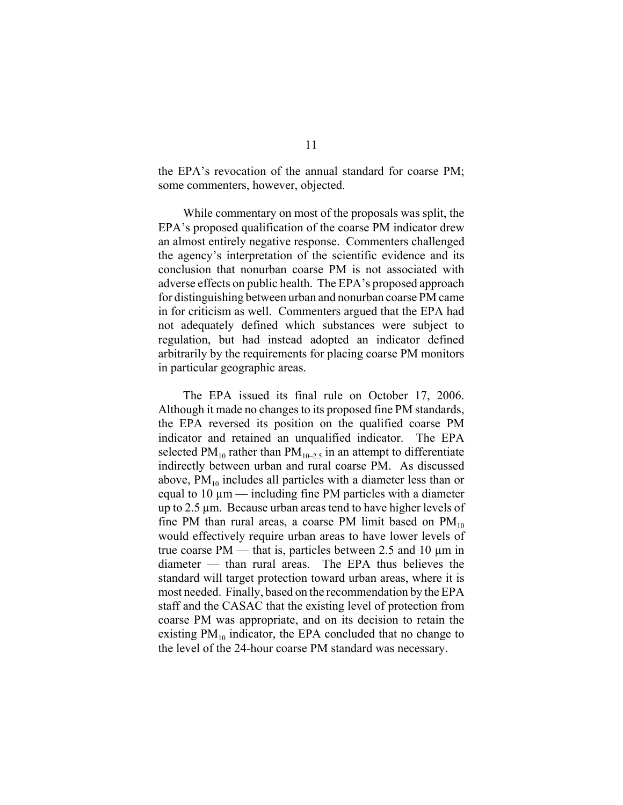the EPA's revocation of the annual standard for coarse PM; some commenters, however, objected.

While commentary on most of the proposals was split, the EPA's proposed qualification of the coarse PM indicator drew an almost entirely negative response. Commenters challenged the agency's interpretation of the scientific evidence and its conclusion that nonurban coarse PM is not associated with adverse effects on public health. The EPA's proposed approach for distinguishing between urban and nonurban coarse PM came in for criticism as well. Commenters argued that the EPA had not adequately defined which substances were subject to regulation, but had instead adopted an indicator defined arbitrarily by the requirements for placing coarse PM monitors in particular geographic areas.

The EPA issued its final rule on October 17, 2006. Although it made no changes to its proposed fine PM standards, the EPA reversed its position on the qualified coarse PM indicator and retained an unqualified indicator. The EPA selected PM<sub>10</sub> rather than PM<sub>10–2.5</sub> in an attempt to differentiate indirectly between urban and rural coarse PM. As discussed above,  $PM_{10}$  includes all particles with a diameter less than or equal to  $10 \mu m$  — including fine PM particles with a diameter up to 2.5 µm. Because urban areas tend to have higher levels of fine PM than rural areas, a coarse PM limit based on  $PM_{10}$ would effectively require urban areas to have lower levels of true coarse  $PM$  — that is, particles between 2.5 and 10  $\mu$ m in diameter — than rural areas. The EPA thus believes the standard will target protection toward urban areas, where it is most needed. Finally, based on the recommendation by the EPA staff and the CASAC that the existing level of protection from coarse PM was appropriate, and on its decision to retain the existing  $PM_{10}$  indicator, the EPA concluded that no change to the level of the 24-hour coarse PM standard was necessary.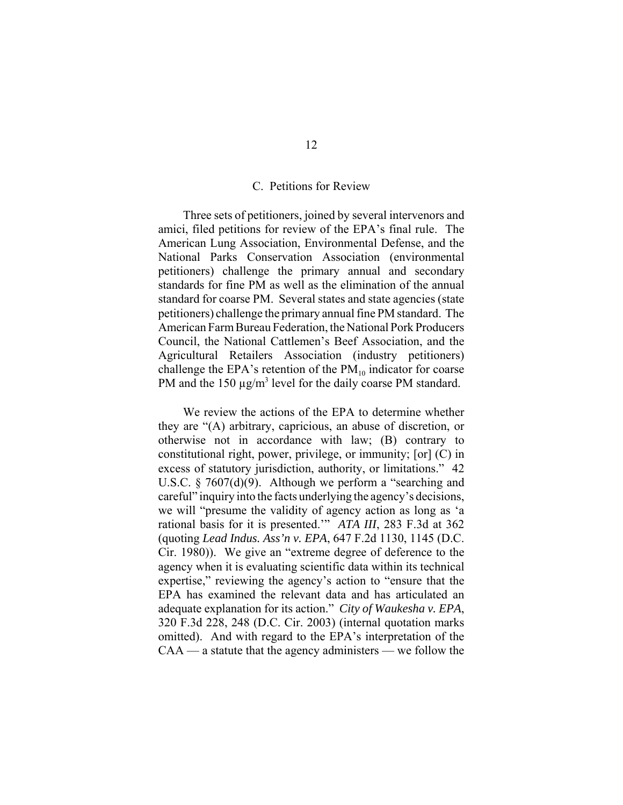# C. Petitions for Review

Three sets of petitioners, joined by several intervenors and amici, filed petitions for review of the EPA's final rule. The American Lung Association, Environmental Defense, and the National Parks Conservation Association (environmental petitioners) challenge the primary annual and secondary standards for fine PM as well as the elimination of the annual standard for coarse PM. Several states and state agencies (state petitioners) challenge the primary annual fine PM standard. The American Farm Bureau Federation, the National Pork Producers Council, the National Cattlemen's Beef Association, and the Agricultural Retailers Association (industry petitioners) challenge the EPA's retention of the  $PM_{10}$  indicator for coarse PM and the  $150 \mu g/m^3$  level for the daily coarse PM standard.

We review the actions of the EPA to determine whether they are "(A) arbitrary, capricious, an abuse of discretion, or otherwise not in accordance with law; (B) contrary to constitutional right, power, privilege, or immunity; [or] (C) in excess of statutory jurisdiction, authority, or limitations." 42 U.S.C. § 7607(d)(9). Although we perform a "searching and careful" inquiry into the facts underlying the agency's decisions, we will "presume the validity of agency action as long as 'a rational basis for it is presented.'" *ATA III*, 283 F.3d at 362 (quoting *Lead Indus. Ass'n v. EPA*, 647 F.2d 1130, 1145 (D.C. Cir. 1980)). We give an "extreme degree of deference to the agency when it is evaluating scientific data within its technical expertise," reviewing the agency's action to "ensure that the EPA has examined the relevant data and has articulated an adequate explanation for its action." *City of Waukesha v. EPA*, 320 F.3d 228, 248 (D.C. Cir. 2003) (internal quotation marks omitted). And with regard to the EPA's interpretation of the CAA — a statute that the agency administers — we follow the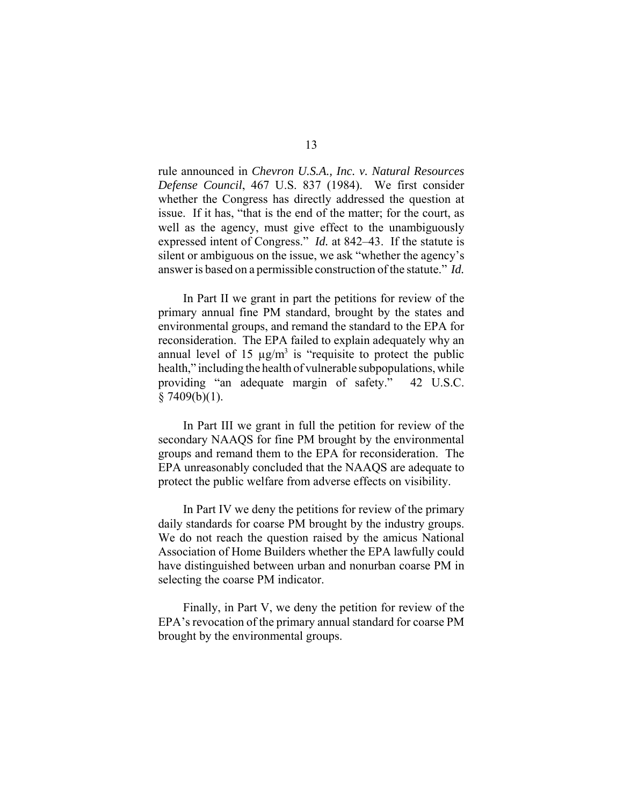rule announced in *Chevron U.S.A., Inc. v. Natural Resources Defense Council*, 467 U.S. 837 (1984). We first consider whether the Congress has directly addressed the question at issue. If it has, "that is the end of the matter; for the court, as well as the agency, must give effect to the unambiguously expressed intent of Congress." *Id.* at 842–43. If the statute is silent or ambiguous on the issue, we ask "whether the agency's answer is based on a permissible construction of the statute." *Id.*

In Part II we grant in part the petitions for review of the primary annual fine PM standard, brought by the states and environmental groups, and remand the standard to the EPA for reconsideration. The EPA failed to explain adequately why an annual level of 15  $\mu$ g/m<sup>3</sup> is "requisite to protect the public health," including the health of vulnerable subpopulations, while providing "an adequate margin of safety." 42 U.S.C.  $§ 7409(b)(1).$ 

In Part III we grant in full the petition for review of the secondary NAAQS for fine PM brought by the environmental groups and remand them to the EPA for reconsideration. The EPA unreasonably concluded that the NAAQS are adequate to protect the public welfare from adverse effects on visibility.

In Part IV we deny the petitions for review of the primary daily standards for coarse PM brought by the industry groups. We do not reach the question raised by the amicus National Association of Home Builders whether the EPA lawfully could have distinguished between urban and nonurban coarse PM in selecting the coarse PM indicator.

Finally, in Part V, we deny the petition for review of the EPA's revocation of the primary annual standard for coarse PM brought by the environmental groups.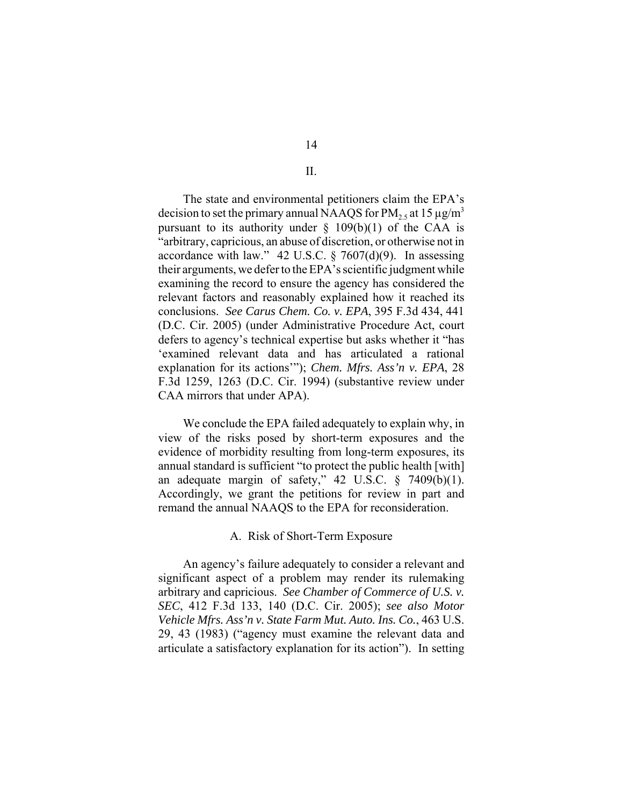II.

The state and environmental petitioners claim the EPA's decision to set the primary annual NAAQS for  $PM<sub>2.5</sub>$  at 15  $\mu$ g/m<sup>3</sup> pursuant to its authority under  $\S$  109(b)(1) of the CAA is "arbitrary, capricious, an abuse of discretion, or otherwise not in accordance with law." 42 U.S.C. § 7607(d)(9).In assessing their arguments, we defer to the EPA's scientific judgment while examining the record to ensure the agency has considered the relevant factors and reasonably explained how it reached its conclusions. *See Carus Chem. Co. v. EPA*, 395 F.3d 434, 441 (D.C. Cir. 2005) (under Administrative Procedure Act, court defers to agency's technical expertise but asks whether it "has 'examined relevant data and has articulated a rational explanation for its actions'"); *Chem. Mfrs. Ass'n v. EPA*, 28 F.3d 1259, 1263 (D.C. Cir. 1994) (substantive review under CAA mirrors that under APA).

We conclude the EPA failed adequately to explain why, in view of the risks posed by short-term exposures and the evidence of morbidity resulting from long-term exposures, its annual standard is sufficient "to protect the public health [with] an adequate margin of safety,"  $42 \text{ U.S.C. }$  §  $7409(b)(1)$ . Accordingly, we grant the petitions for review in part and remand the annual NAAQS to the EPA for reconsideration.

# A. Risk of Short-Term Exposure

An agency's failure adequately to consider a relevant and significant aspect of a problem may render its rulemaking arbitrary and capricious. *See Chamber of Commerce of U.S. v. SEC*, 412 F.3d 133, 140 (D.C. Cir. 2005); *see also Motor Vehicle Mfrs. Ass'n v. State Farm Mut. Auto. Ins. Co.*, 463 U.S. 29, 43 (1983) ("agency must examine the relevant data and articulate a satisfactory explanation for its action"). In setting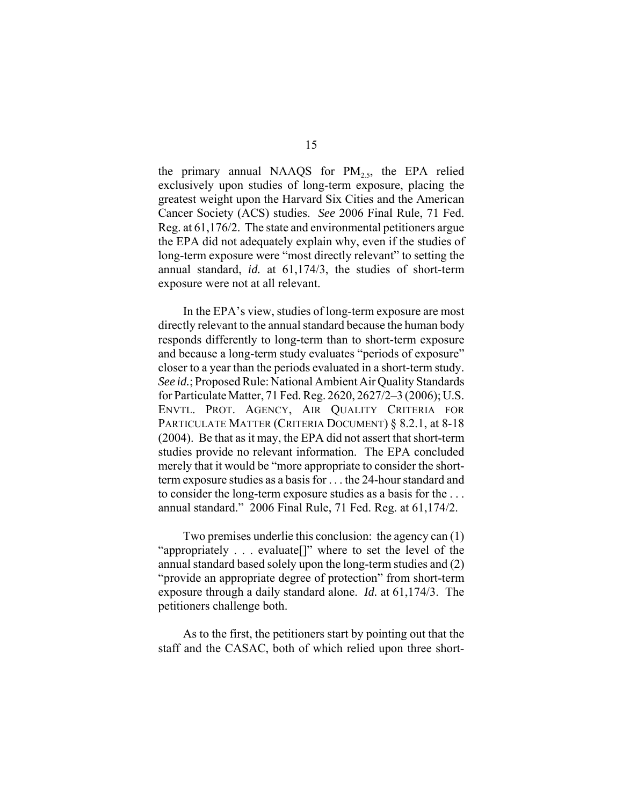the primary annual NAAQS for  $PM_{2.5}$ , the EPA relied exclusively upon studies of long-term exposure, placing the greatest weight upon the Harvard Six Cities and the American Cancer Society (ACS) studies. *See* 2006 Final Rule, 71 Fed. Reg. at 61,176/2. The state and environmental petitioners argue the EPA did not adequately explain why, even if the studies of long-term exposure were "most directly relevant" to setting the annual standard, *id.* at 61,174/3, the studies of short-term exposure were not at all relevant.

In the EPA's view, studies of long-term exposure are most directly relevant to the annual standard because the human body responds differently to long-term than to short-term exposure and because a long-term study evaluates "periods of exposure" closer to a year than the periods evaluated in a short-term study. *See id.*; Proposed Rule: National Ambient Air Quality Standards for Particulate Matter, 71 Fed. Reg. 2620, 2627/2–3 (2006); U.S. ENVTL. PROT. AGENCY, AIR QUALITY CRITERIA FOR PARTICULATE MATTER (CRITERIA DOCUMENT) § 8.2.1, at 8-18 (2004). Be that as it may, the EPA did not assert that short-term studies provide no relevant information. The EPA concluded merely that it would be "more appropriate to consider the shortterm exposure studies as a basis for . . . the 24-hour standard and to consider the long-term exposure studies as a basis for the . . . annual standard." 2006 Final Rule, 71 Fed. Reg. at 61,174/2.

Two premises underlie this conclusion: the agency can (1) "appropriately . . . evaluate[]" where to set the level of the annual standard based solely upon the long-term studies and (2) "provide an appropriate degree of protection" from short-term exposure through a daily standard alone. *Id.* at 61,174/3. The petitioners challenge both.

As to the first, the petitioners start by pointing out that the staff and the CASAC, both of which relied upon three short-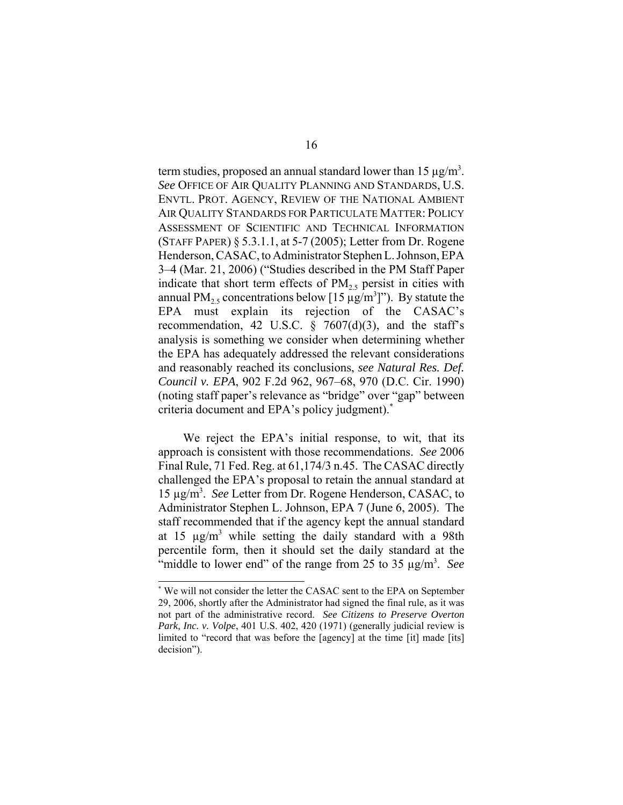term studies, proposed an annual standard lower than 15  $\mu$ g/m<sup>3</sup>. *See* OFFICE OF AIR QUALITY PLANNING AND STANDARDS, U.S. ENVTL. PROT. AGENCY, REVIEW OF THE NATIONAL AMBIENT AIR QUALITY STANDARDS FOR PARTICULATE MATTER: POLICY ASSESSMENT OF SCIENTIFIC AND TECHNICAL INFORMATION (STAFF PAPER) § 5.3.1.1, at 5-7 (2005); Letter from Dr. Rogene Henderson, CASAC, to Administrator Stephen L. Johnson, EPA 3–4 (Mar. 21, 2006) ("Studies described in the PM Staff Paper indicate that short term effects of  $PM<sub>25</sub>$  persist in cities with annual PM<sub>2.5</sub> concentrations below [15  $\mu$ g/m<sup>3</sup>]"). By statute the EPA must explain its rejection of the CASAC's recommendation, 42 U.S.C.  $\frac{6}{7607}$ (d)(3), and the staff's analysis is something we consider when determining whether the EPA has adequately addressed the relevant considerations and reasonably reached its conclusions, *see Natural Res. Def. Council v. EPA*, 902 F.2d 962, 967–68, 970 (D.C. Cir. 1990) (noting staff paper's relevance as "bridge" over "gap" between criteria document and EPA's policy judgment).\*

We reject the EPA's initial response, to wit, that its approach is consistent with those recommendations. *See* 2006 Final Rule, 71 Fed. Reg. at 61,174/3 n.45. The CASAC directly challenged the EPA's proposal to retain the annual standard at 15 µg/m3 . *See* Letter from Dr. Rogene Henderson, CASAC, to Administrator Stephen L. Johnson, EPA 7 (June 6, 2005). The staff recommended that if the agency kept the annual standard at 15  $\mu$ g/m<sup>3</sup> while setting the daily standard with a 98th percentile form, then it should set the daily standard at the "middle to lower end" of the range from 25 to 35 µg/m<sup>3</sup>. See

<sup>\*</sup> We will not consider the letter the CASAC sent to the EPA on September 29, 2006, shortly after the Administrator had signed the final rule, as it was not part of the administrative record. *See Citizens to Preserve Overton Park, Inc. v. Volpe*, 401 U.S. 402, 420 (1971) (generally judicial review is limited to "record that was before the [agency] at the time [it] made [its] decision").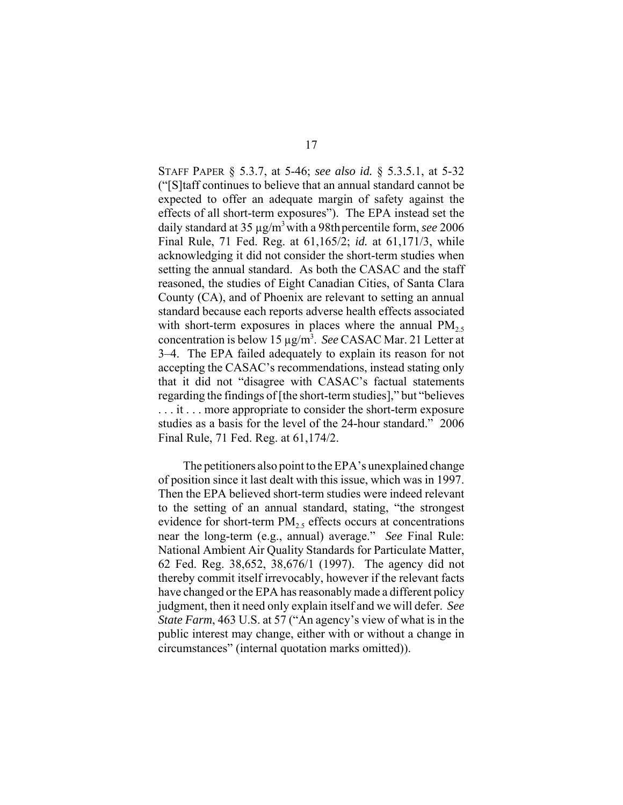STAFF PAPER § 5.3.7, at 5-46; *see also id.* § 5.3.5.1, at 5-32 ("[S]taff continues to believe that an annual standard cannot be expected to offer an adequate margin of safety against the effects of all short-term exposures"). The EPA instead set the daily standard at 35 µg/m3 with a 98thpercentile form, *see* 2006 Final Rule, 71 Fed. Reg. at 61,165/2; *id.* at 61,171/3, while acknowledging it did not consider the short-term studies when setting the annual standard. As both the CASAC and the staff reasoned, the studies of Eight Canadian Cities, of Santa Clara County (CA), and of Phoenix are relevant to setting an annual standard because each reports adverse health effects associated with short-term exposures in places where the annual  $PM_{2.5}$ concentration is below 15 µg/m3 . *See* CASAC Mar. 21 Letter at 3–4. The EPA failed adequately to explain its reason for not accepting the CASAC's recommendations, instead stating only that it did not "disagree with CASAC's factual statements regarding the findings of [the short-term studies]," but "believes . . . it . . . more appropriate to consider the short-term exposure studies as a basis for the level of the 24-hour standard." 2006 Final Rule, 71 Fed. Reg. at 61,174/2.

The petitioners also point to the EPA's unexplained change of position since it last dealt with this issue, which was in 1997. Then the EPA believed short-term studies were indeed relevant to the setting of an annual standard, stating, "the strongest evidence for short-term  $PM<sub>2.5</sub>$  effects occurs at concentrations near the long-term (e.g., annual) average." *See* Final Rule: National Ambient Air Quality Standards for Particulate Matter, 62 Fed. Reg. 38,652, 38,676/1 (1997). The agency did not thereby commit itself irrevocably, however if the relevant facts have changed or the EPA has reasonably made a different policy judgment, then it need only explain itself and we will defer. *See State Farm*, 463 U.S. at 57 ("An agency's view of what is in the public interest may change, either with or without a change in circumstances" (internal quotation marks omitted)).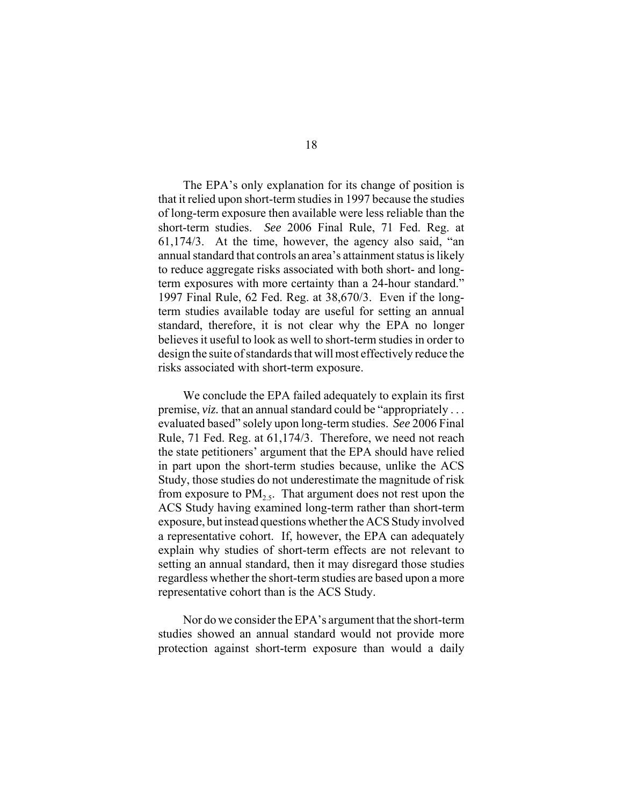The EPA's only explanation for its change of position is that it relied upon short-term studies in 1997 because the studies of long-term exposure then available were less reliable than the short-term studies. *See* 2006 Final Rule, 71 Fed. Reg. at 61,174/3. At the time, however, the agency also said, "an annual standard that controls an area's attainment status is likely to reduce aggregate risks associated with both short- and longterm exposures with more certainty than a 24-hour standard." 1997 Final Rule, 62 Fed. Reg. at 38,670/3. Even if the longterm studies available today are useful for setting an annual standard, therefore, it is not clear why the EPA no longer believes it useful to look as well to short-term studies in order to design the suite of standards that will most effectively reduce the risks associated with short-term exposure.

We conclude the EPA failed adequately to explain its first premise, *viz*. that an annual standard could be "appropriately ... evaluated based" solely upon long-term studies. *See* 2006 Final Rule, 71 Fed. Reg. at 61,174/3. Therefore, we need not reach the state petitioners' argument that the EPA should have relied in part upon the short-term studies because, unlike the ACS Study, those studies do not underestimate the magnitude of risk from exposure to  $PM<sub>2.5</sub>$ . That argument does not rest upon the ACS Study having examined long-term rather than short-term exposure, but instead questions whether the ACS Study involved a representative cohort. If, however, the EPA can adequately explain why studies of short-term effects are not relevant to setting an annual standard, then it may disregard those studies regardless whether the short-term studies are based upon a more representative cohort than is the ACS Study.

Nor do we consider the EPA's argument that the short-term studies showed an annual standard would not provide more protection against short-term exposure than would a daily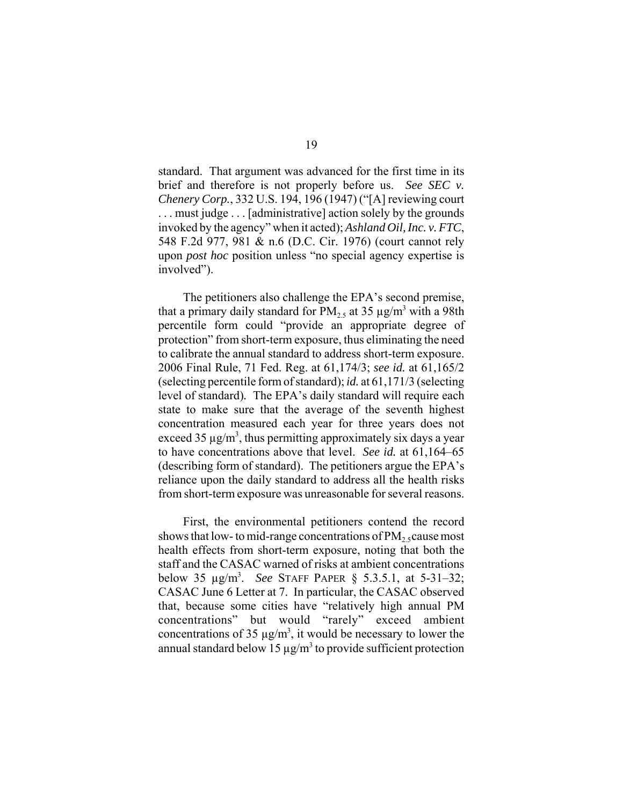standard. That argument was advanced for the first time in its brief and therefore is not properly before us. *See SEC v. Chenery Corp.*, 332 U.S. 194, 196 (1947) ("[A] reviewing court . . . must judge . . . [administrative] action solely by the grounds invoked by the agency" when it acted); *Ashland Oil, Inc. v. FTC*, 548 F.2d 977, 981 & n.6 (D.C. Cir. 1976) (court cannot rely upon *post hoc* position unless "no special agency expertise is involved").

The petitioners also challenge the EPA's second premise, that a primary daily standard for  $PM_{2.5}$  at 35  $\mu$ g/m<sup>3</sup> with a 98th percentile form could "provide an appropriate degree of protection" from short-term exposure, thus eliminating the need to calibrate the annual standard to address short-term exposure. 2006 Final Rule, 71 Fed. Reg. at 61,174/3; *see id.* at 61,165/2 (selecting percentile form of standard); *id.* at 61,171/3 (selecting level of standard)*.* The EPA's daily standard will require each state to make sure that the average of the seventh highest concentration measured each year for three years does not exceed 35  $\mu$ g/m<sup>3</sup>, thus permitting approximately six days a year to have concentrations above that level. *See id.* at 61,164–65 (describing form of standard). The petitioners argue the EPA's reliance upon the daily standard to address all the health risks from short-term exposure was unreasonable for several reasons.

First, the environmental petitioners contend the record shows that low- to mid-range concentrations of  $PM_2$ , cause most health effects from short-term exposure, noting that both the staff and the CASAC warned of risks at ambient concentrations below 35 µg/m3 . *See* STAFF PAPER § 5.3.5.1, at 5-31–32; CASAC June 6 Letter at 7. In particular, the CASAC observed that, because some cities have "relatively high annual PM concentrations" but would "rarely" exceed ambient concentrations of 35  $\mu$ g/m<sup>3</sup>, it would be necessary to lower the annual standard below 15  $\mu$ g/m<sup>3</sup> to provide sufficient protection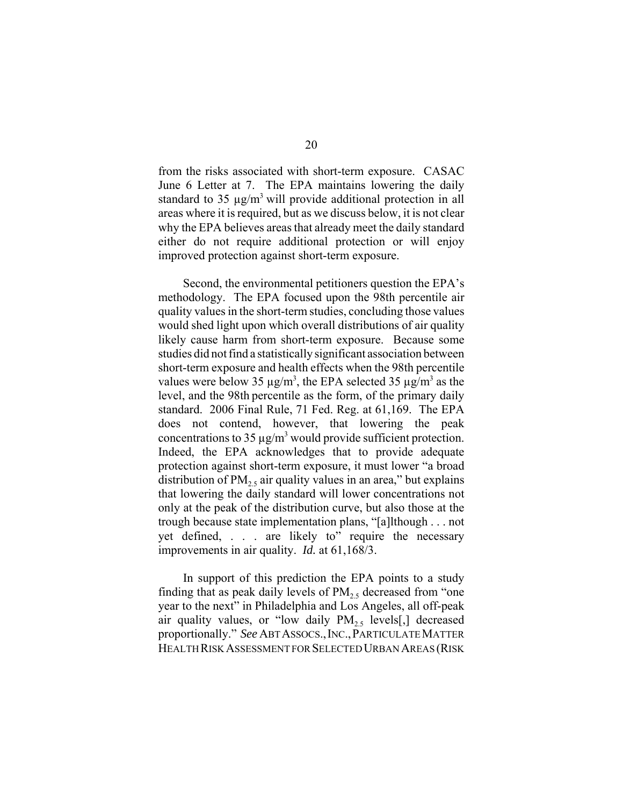from the risks associated with short-term exposure. CASAC June 6 Letter at 7. The EPA maintains lowering the daily standard to 35  $\mu$ g/m<sup>3</sup> will provide additional protection in all areas where it is required, but as we discuss below, it is not clear why the EPA believes areas that already meet the daily standard either do not require additional protection or will enjoy improved protection against short-term exposure.

Second, the environmental petitioners question the EPA's methodology. The EPA focused upon the 98th percentile air quality values in the short-term studies, concluding those values would shed light upon which overall distributions of air quality likely cause harm from short-term exposure. Because some studies did not find a statistically significant association between short-term exposure and health effects when the 98th percentile values were below 35  $\mu$ g/m<sup>3</sup>, the EPA selected 35  $\mu$ g/m<sup>3</sup> as the level, and the 98th percentile as the form, of the primary daily standard. 2006 Final Rule, 71 Fed. Reg. at 61,169. The EPA does not contend, however, that lowering the peak concentrations to 35  $\mu$ g/m<sup>3</sup> would provide sufficient protection. Indeed, the EPA acknowledges that to provide adequate protection against short-term exposure, it must lower "a broad distribution of  $PM_{2.5}$  air quality values in an area," but explains that lowering the daily standard will lower concentrations not only at the peak of the distribution curve, but also those at the trough because state implementation plans, "[a]lthough . . . not yet defined, . . . are likely to" require the necessary improvements in air quality. *Id.* at 61,168/3.

In support of this prediction the EPA points to a study finding that as peak daily levels of  $PM<sub>2.5</sub>$  decreased from "one" year to the next" in Philadelphia and Los Angeles, all off-peak air quality values, or "low daily  $PM_{2.5}$  levels[,] decreased proportionally." *See* ABT ASSOCS.,INC.,PARTICULATE MATTER HEALTH RISK ASSESSMENT FOR SELECTED URBAN AREAS (RISK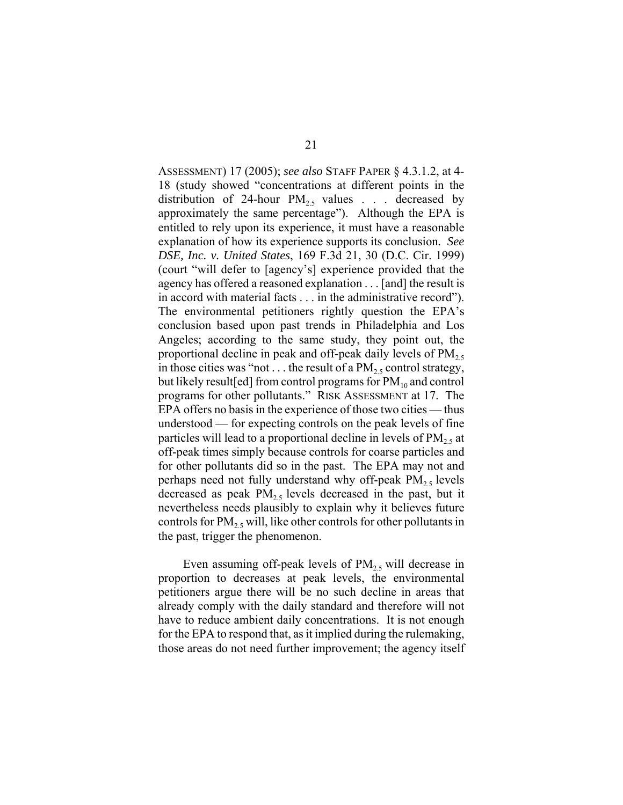ASSESSMENT) 17 (2005); *see also* STAFF PAPER § 4.3.1.2, at 4- 18 (study showed "concentrations at different points in the distribution of 24-hour  $PM_{2.5}$  values . . . decreased by approximately the same percentage"). Although the EPA is entitled to rely upon its experience, it must have a reasonable explanation of how its experience supports its conclusion*. See DSE, Inc. v. United States*, 169 F.3d 21, 30 (D.C. Cir. 1999) (court "will defer to [agency's] experience provided that the agency has offered a reasoned explanation . . . [and] the result is in accord with material facts . . . in the administrative record"). The environmental petitioners rightly question the EPA's conclusion based upon past trends in Philadelphia and Los Angeles; according to the same study, they point out, the proportional decline in peak and off-peak daily levels of  $PM_{2.5}$ in those cities was "not . . . the result of a  $PM_{2.5}$  control strategy, but likely result [ed] from control programs for  $PM_{10}$  and control programs for other pollutants." RISK ASSESSMENT at 17. The EPA offers no basis in the experience of those two cities — thus understood — for expecting controls on the peak levels of fine particles will lead to a proportional decline in levels of  $PM<sub>2.5</sub>$  at off-peak times simply because controls for coarse particles and for other pollutants did so in the past. The EPA may not and perhaps need not fully understand why off-peak  $PM_{2.5}$  levels decreased as peak  $PM_{2.5}$  levels decreased in the past, but it nevertheless needs plausibly to explain why it believes future controls for  $PM<sub>25</sub>$  will, like other controls for other pollutants in the past, trigger the phenomenon.

Even assuming off-peak levels of  $PM_{2.5}$  will decrease in proportion to decreases at peak levels, the environmental petitioners argue there will be no such decline in areas that already comply with the daily standard and therefore will not have to reduce ambient daily concentrations. It is not enough for the EPA to respond that, as it implied during the rulemaking, those areas do not need further improvement; the agency itself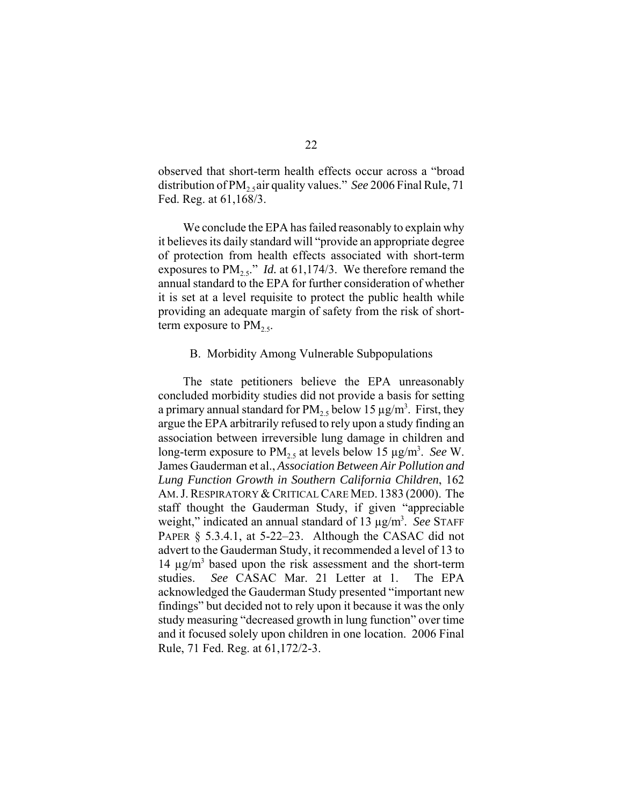observed that short-term health effects occur across a "broad distribution of PM<sub>2</sub>, air quality values." *See* 2006 Final Rule, 71 Fed. Reg. at 61,168/3.

We conclude the EPA has failed reasonably to explain why it believes its daily standard will "provide an appropriate degree of protection from health effects associated with short-term exposures to  $PM_{2.5}$ ." *Id.* at 61,174/3. We therefore remand the annual standard to the EPA for further consideration of whether it is set at a level requisite to protect the public health while providing an adequate margin of safety from the risk of shortterm exposure to  $PM_{2.5}$ .

#### B. Morbidity Among Vulnerable Subpopulations

The state petitioners believe the EPA unreasonably concluded morbidity studies did not provide a basis for setting a primary annual standard for  $PM_{2.5}$  below 15  $\mu$ g/m<sup>3</sup>. First, they argue the EPA arbitrarily refused to rely upon a study finding an association between irreversible lung damage in children and long-term exposure to PM<sub>2.5</sub> at levels below 15 µg/m<sup>3</sup>. See W. James Gauderman et al., *Association Between Air Pollution and Lung Function Growth in Southern California Children*, 162 AM.J.RESPIRATORY & CRITICAL CARE MED. 1383 (2000). The staff thought the Gauderman Study, if given "appreciable weight," indicated an annual standard of 13 µg/m<sup>3</sup>. See STAFF PAPER § 5.3.4.1, at 5-22–23. Although the CASAC did not advert to the Gauderman Study, it recommended a level of 13 to 14 µg/m<sup>3</sup> based upon the risk assessment and the short-term studies. *See* CASAC Mar. 21 Letter at 1. The EPA acknowledged the Gauderman Study presented "important new findings" but decided not to rely upon it because it was the only study measuring "decreased growth in lung function" over time and it focused solely upon children in one location. 2006 Final Rule, 71 Fed. Reg. at 61,172/2-3.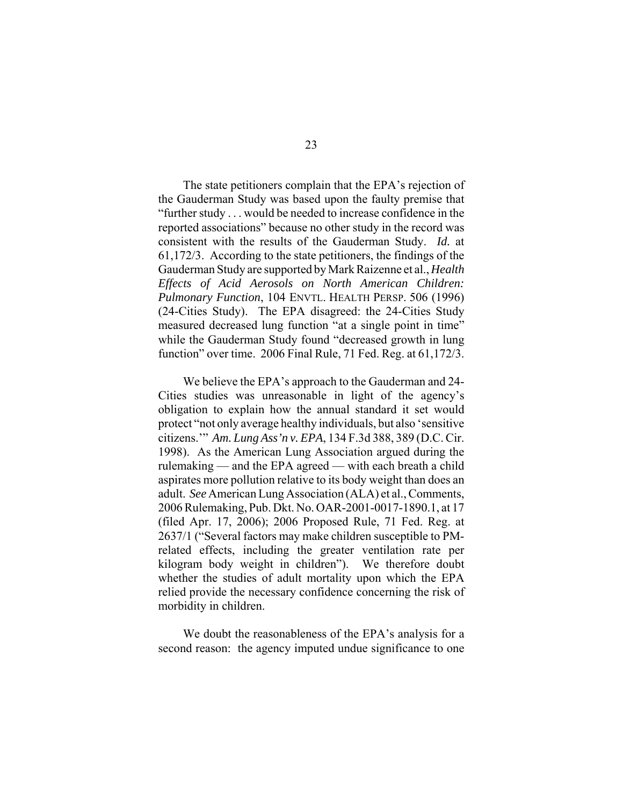The state petitioners complain that the EPA's rejection of the Gauderman Study was based upon the faulty premise that "further study . . . would be needed to increase confidence in the reported associations" because no other study in the record was consistent with the results of the Gauderman Study. *Id.* at 61,172/3. According to the state petitioners, the findings of the Gauderman Study are supported by Mark Raizenne et al., *Health Effects of Acid Aerosols on North American Children: Pulmonary Function*, 104 ENVTL. HEALTH PERSP. 506 (1996) (24-Cities Study). The EPA disagreed: the 24-Cities Study measured decreased lung function "at a single point in time" while the Gauderman Study found "decreased growth in lung function" over time. 2006 Final Rule, 71 Fed. Reg. at 61,172/3.

We believe the EPA's approach to the Gauderman and 24- Cities studies was unreasonable in light of the agency's obligation to explain how the annual standard it set would protect "not only average healthy individuals, but also 'sensitive citizens.'" *Am. Lung Ass'n v. EPA*, 134 F.3d 388, 389 (D.C. Cir. 1998). As the American Lung Association argued during the rulemaking — and the EPA agreed — with each breath a child aspirates more pollution relative to its body weight than does an adult. *See* American Lung Association (ALA) et al., Comments, 2006 Rulemaking, Pub. Dkt. No. OAR-2001-0017-1890.1, at 17 (filed Apr. 17, 2006); 2006 Proposed Rule, 71 Fed. Reg. at 2637/1 ("Several factors may make children susceptible to PMrelated effects, including the greater ventilation rate per kilogram body weight in children"). We therefore doubt whether the studies of adult mortality upon which the EPA relied provide the necessary confidence concerning the risk of morbidity in children.

We doubt the reasonableness of the EPA's analysis for a second reason: the agency imputed undue significance to one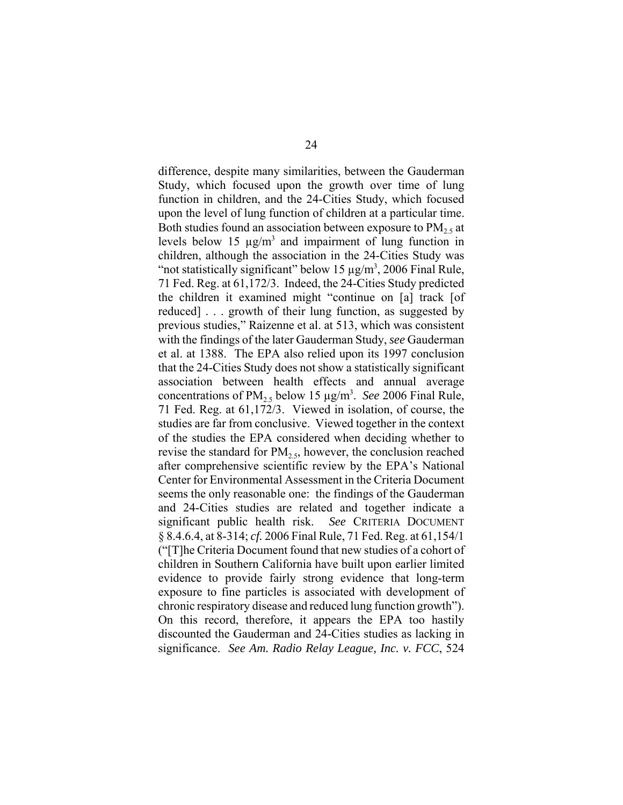difference, despite many similarities, between the Gauderman Study, which focused upon the growth over time of lung function in children, and the 24-Cities Study, which focused upon the level of lung function of children at a particular time. Both studies found an association between exposure to  $PM<sub>2.5</sub>$  at levels below 15  $\mu$ g/m<sup>3</sup> and impairment of lung function in children, although the association in the 24-Cities Study was "not statistically significant" below 15  $\mu$ g/m<sup>3</sup>, 2006 Final Rule, 71 Fed. Reg. at 61,172/3. Indeed, the 24-Cities Study predicted the children it examined might "continue on [a] track [of reduced] . . . growth of their lung function, as suggested by previous studies," Raizenne et al. at 513, which was consistent with the findings of the later Gauderman Study, *see* Gauderman et al. at 1388. The EPA also relied upon its 1997 conclusion that the 24-Cities Study does not show a statistically significant association between health effects and annual average concentrations of  $PM_{2.5}$  below 15  $\mu$ g/m<sup>3</sup>. *See* 2006 Final Rule, 71 Fed. Reg. at 61,172/3. Viewed in isolation, of course, the studies are far from conclusive. Viewed together in the context of the studies the EPA considered when deciding whether to revise the standard for  $PM_{2.5}$ , however, the conclusion reached after comprehensive scientific review by the EPA's National Center for Environmental Assessment in the Criteria Document seems the only reasonable one: the findings of the Gauderman and 24-Cities studies are related and together indicate a significant public health risk. *See* CRITERIA DOCUMENT § 8.4.6.4, at 8-314; *cf.* 2006 Final Rule, 71 Fed. Reg. at 61,154/1 ("[T]he Criteria Document found that new studies of a cohort of children in Southern California have built upon earlier limited evidence to provide fairly strong evidence that long-term exposure to fine particles is associated with development of chronic respiratory disease and reduced lung function growth"). On this record, therefore, it appears the EPA too hastily discounted the Gauderman and 24-Cities studies as lacking in significance. *See Am. Radio Relay League, Inc. v. FCC*, 524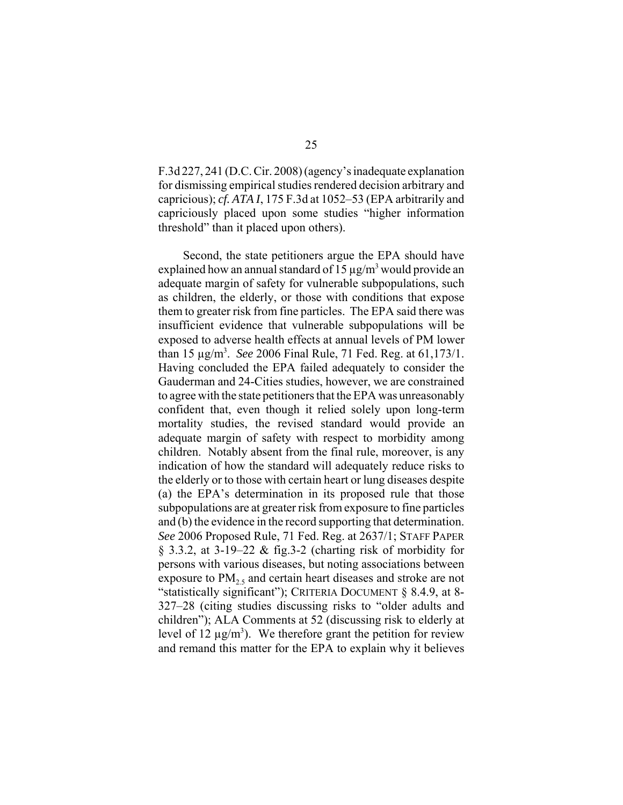F.3d 227, 241 (D.C. Cir. 2008) (agency's inadequate explanation for dismissing empirical studies rendered decision arbitrary and capricious); *cf. ATA I*, 175 F.3d at 1052–53 (EPA arbitrarily and capriciously placed upon some studies "higher information threshold" than it placed upon others).

Second, the state petitioners argue the EPA should have explained how an annual standard of  $15 \mu g/m<sup>3</sup>$  would provide an adequate margin of safety for vulnerable subpopulations, such as children, the elderly, or those with conditions that expose them to greater risk from fine particles. The EPA said there was insufficient evidence that vulnerable subpopulations will be exposed to adverse health effects at annual levels of PM lower than 15 µg/m3 . *See* 2006 Final Rule, 71 Fed. Reg. at 61,173/1. Having concluded the EPA failed adequately to consider the Gauderman and 24-Cities studies, however, we are constrained to agree with the state petitioners that the EPA was unreasonably confident that, even though it relied solely upon long-term mortality studies, the revised standard would provide an adequate margin of safety with respect to morbidity among children. Notably absent from the final rule, moreover, is any indication of how the standard will adequately reduce risks to the elderly or to those with certain heart or lung diseases despite (a) the EPA's determination in its proposed rule that those subpopulations are at greater risk from exposure to fine particles and (b) the evidence in the record supporting that determination. *See* 2006 Proposed Rule, 71 Fed. Reg. at 2637/1; STAFF PAPER § 3.3.2, at 3-19–22 & fig.3-2 (charting risk of morbidity for persons with various diseases, but noting associations between exposure to  $PM<sub>2.5</sub>$  and certain heart diseases and stroke are not "statistically significant"); CRITERIA DOCUMENT § 8.4.9, at 8- 327–28 (citing studies discussing risks to "older adults and children"); ALA Comments at 52 (discussing risk to elderly at level of 12  $\mu$ g/m<sup>3</sup>). We therefore grant the petition for review and remand this matter for the EPA to explain why it believes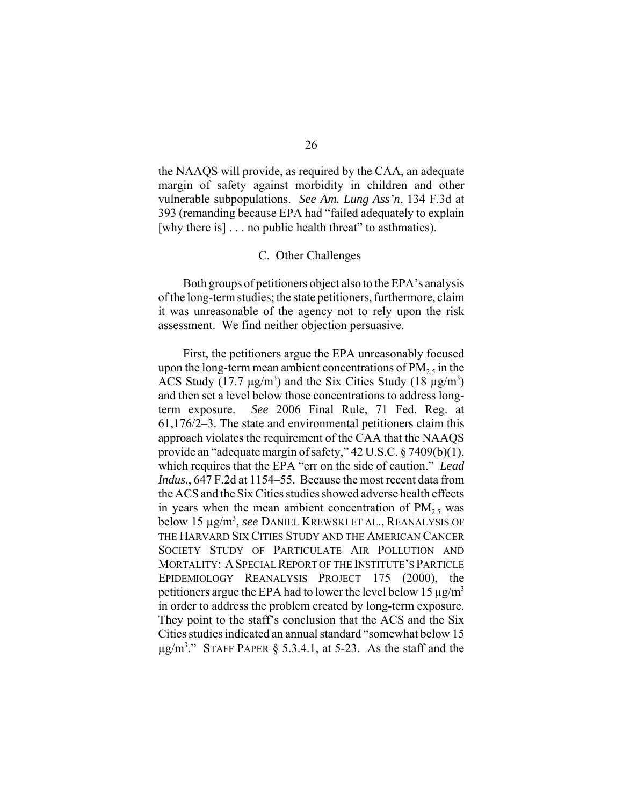the NAAQS will provide, as required by the CAA, an adequate margin of safety against morbidity in children and other vulnerable subpopulations. *See Am. Lung Ass'n*, 134 F.3d at 393 (remanding because EPA had "failed adequately to explain [why there is]  $\ldots$  no public health threat" to asthmatics).

#### C. Other Challenges

Both groups of petitioners object also to the EPA's analysis of the long-term studies; the state petitioners, furthermore, claim it was unreasonable of the agency not to rely upon the risk assessment. We find neither objection persuasive.

First, the petitioners argue the EPA unreasonably focused upon the long-term mean ambient concentrations of  $PM<sub>2.5</sub>$  in the ACS Study (17.7  $\mu$ g/m<sup>3</sup>) and the Six Cities Study (18  $\mu$ g/m<sup>3</sup>) and then set a level below those concentrations to address longterm exposure. *See* 2006 Final Rule, 71 Fed. Reg. at 61,176/2–3. The state and environmental petitioners claim this approach violates the requirement of the CAA that the NAAQS provide an "adequate margin of safety," 42 U.S.C. § 7409(b)(1), which requires that the EPA "err on the side of caution." *Lead Indus.*, 647 F.2d at 1154–55. Because the most recent data from the ACS and the Six Cities studies showed adverse health effects in years when the mean ambient concentration of  $PM<sub>2.5</sub>$  was below 15 µg/m3 , *see* DANIEL KREWSKI ET AL., REANALYSIS OF THE HARVARD SIX CITIES STUDY AND THE AMERICAN CANCER SOCIETY STUDY OF PARTICULATE AIR POLLUTION AND MORTALITY: ASPECIAL REPORT OF THE INSTITUTE'S PARTICLE EPIDEMIOLOGY REANALYSIS PROJECT 175 (2000), the petitioners argue the EPA had to lower the level below 15  $\mu$ g/m<sup>3</sup> in order to address the problem created by long-term exposure. They point to the staff's conclusion that the ACS and the Six Cities studies indicated an annual standard "somewhat below 15  $\mu$ g/m<sup>3</sup>." STAFF PAPER § 5.3.4.1, at 5-23. As the staff and the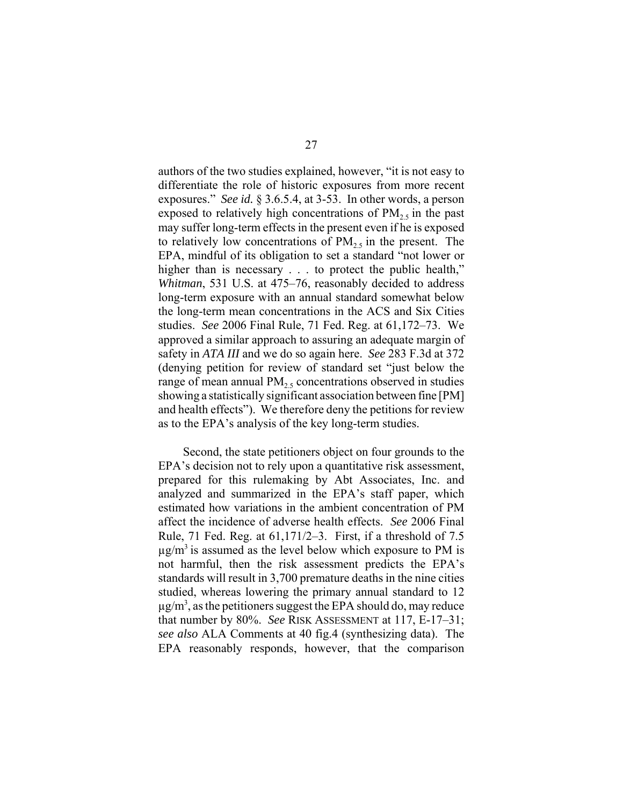authors of the two studies explained, however, "it is not easy to differentiate the role of historic exposures from more recent exposures." *See id.* § 3.6.5.4, at 3-53. In other words, a person exposed to relatively high concentrations of  $PM<sub>2.5</sub>$  in the past may suffer long-term effects in the present even if he is exposed to relatively low concentrations of  $PM<sub>2.5</sub>$  in the present. The EPA, mindful of its obligation to set a standard "not lower or higher than is necessary . . . to protect the public health," *Whitman*, 531 U.S. at 475–76, reasonably decided to address long-term exposure with an annual standard somewhat below the long-term mean concentrations in the ACS and Six Cities studies. *See* 2006 Final Rule, 71 Fed. Reg. at 61,172–73. We approved a similar approach to assuring an adequate margin of safety in *ATA III* and we do so again here. *See* 283 F.3d at 372 (denying petition for review of standard set "just below the range of mean annual  $PM<sub>25</sub>$  concentrations observed in studies showing a statistically significant association between fine [PM] and health effects"). We therefore deny the petitions for review as to the EPA's analysis of the key long-term studies.

Second, the state petitioners object on four grounds to the EPA's decision not to rely upon a quantitative risk assessment, prepared for this rulemaking by Abt Associates, Inc. and analyzed and summarized in the EPA's staff paper, which estimated how variations in the ambient concentration of PM affect the incidence of adverse health effects. *See* 2006 Final Rule, 71 Fed. Reg. at 61,171/2–3. First, if a threshold of 7.5  $\mu$ g/m<sup>3</sup> is assumed as the level below which exposure to PM is not harmful, then the risk assessment predicts the EPA's standards will result in 3,700 premature deaths in the nine cities studied, whereas lowering the primary annual standard to 12  $\mu$ g/m<sup>3</sup>, as the petitioners suggest the EPA should do, may reduce that number by 80%. *See* RISK ASSESSMENT at 117, E-17–31; *see also* ALA Comments at 40 fig.4 (synthesizing data).The EPA reasonably responds, however, that the comparison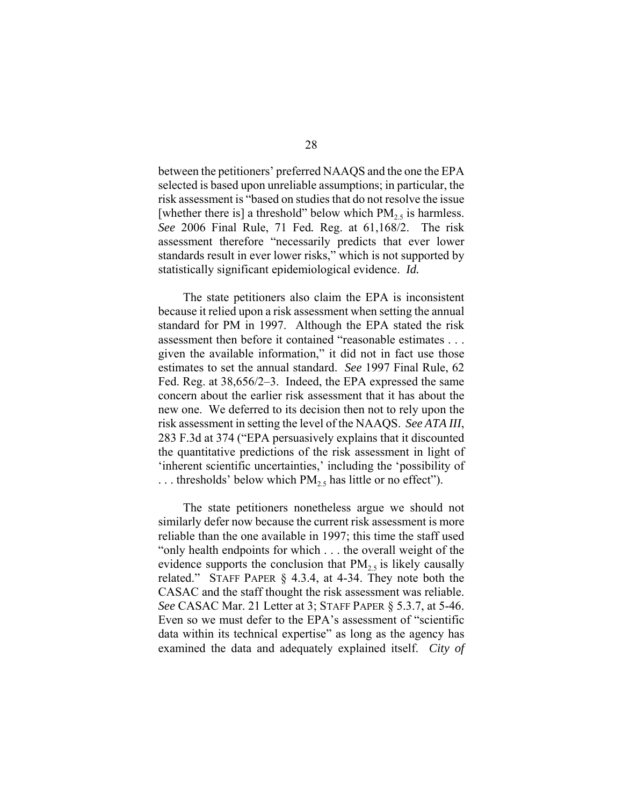between the petitioners' preferred NAAQS and the one the EPA selected is based upon unreliable assumptions; in particular, the risk assessment is "based on studies that do not resolve the issue [whether there is] a threshold" below which  $PM_2$ , is harmless. *See* 2006 Final Rule, 71 Fed*.* Reg. at 61,168/2.The risk assessment therefore "necessarily predicts that ever lower standards result in ever lower risks," which is not supported by statistically significant epidemiological evidence. *Id.* 

The state petitioners also claim the EPA is inconsistent because it relied upon a risk assessment when setting the annual standard for PM in 1997. Although the EPA stated the risk assessment then before it contained "reasonable estimates . . . given the available information," it did not in fact use those estimates to set the annual standard. *See* 1997 Final Rule, 62 Fed. Reg. at 38,656/2–3. Indeed, the EPA expressed the same concern about the earlier risk assessment that it has about the new one. We deferred to its decision then not to rely upon the risk assessment in setting the level of the NAAQS. *See ATA III*, 283 F.3d at 374 ("EPA persuasively explains that it discounted the quantitative predictions of the risk assessment in light of 'inherent scientific uncertainties,' including the 'possibility of ... thresholds' below which  $PM_{2.5}$  has little or no effect").

The state petitioners nonetheless argue we should not similarly defer now because the current risk assessment is more reliable than the one available in 1997; this time the staff used "only health endpoints for which . . . the overall weight of the evidence supports the conclusion that  $PM_{2.5}$  is likely causally related." STAFF PAPER § 4.3.4, at 4-34. They note both the CASAC and the staff thought the risk assessment was reliable. *See* CASAC Mar. 21 Letter at 3; STAFF PAPER § 5.3.7, at 5-46. Even so we must defer to the EPA's assessment of "scientific data within its technical expertise" as long as the agency has examined the data and adequately explained itself. *City of*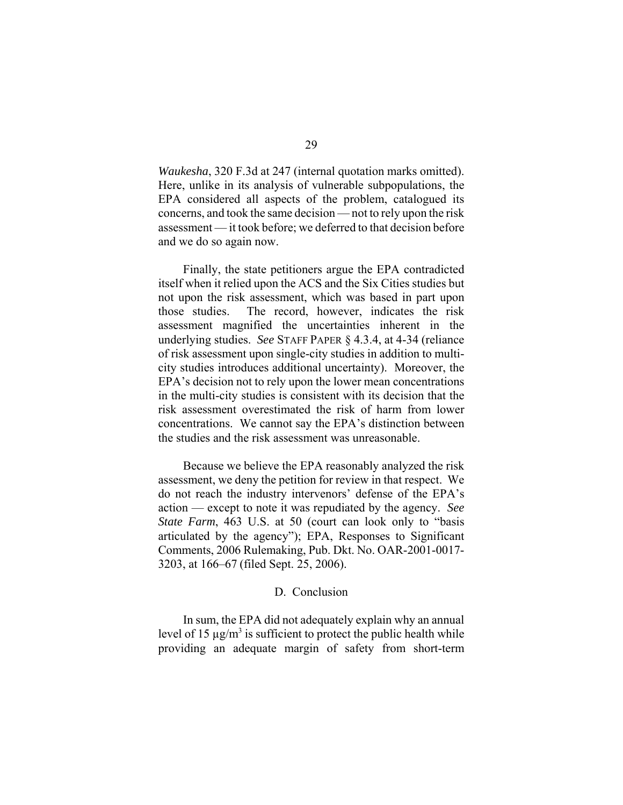*Waukesha*, 320 F.3d at 247 (internal quotation marks omitted). Here, unlike in its analysis of vulnerable subpopulations, the EPA considered all aspects of the problem, catalogued its concerns, and took the same decision — not to rely upon the risk assessment — it took before; we deferred to that decision before and we do so again now.

Finally, the state petitioners argue the EPA contradicted itself when it relied upon the ACS and the Six Cities studies but not upon the risk assessment, which was based in part upon those studies. The record, however, indicates the risk assessment magnified the uncertainties inherent in the underlying studies. *See* STAFF PAPER § 4.3.4, at 4-34 (reliance of risk assessment upon single-city studies in addition to multicity studies introduces additional uncertainty). Moreover, the EPA's decision not to rely upon the lower mean concentrations in the multi-city studies is consistent with its decision that the risk assessment overestimated the risk of harm from lower concentrations. We cannot say the EPA's distinction between the studies and the risk assessment was unreasonable.

Because we believe the EPA reasonably analyzed the risk assessment, we deny the petition for review in that respect. We do not reach the industry intervenors' defense of the EPA's action — except to note it was repudiated by the agency. *See State Farm*, 463 U.S. at 50 (court can look only to "basis" articulated by the agency"); EPA, Responses to Significant Comments, 2006 Rulemaking, Pub. Dkt. No. OAR-2001-0017- 3203, at 166–67 (filed Sept. 25, 2006).

# D. Conclusion

In sum, the EPA did not adequately explain why an annual level of 15  $\mu$ g/m<sup>3</sup> is sufficient to protect the public health while providing an adequate margin of safety from short-term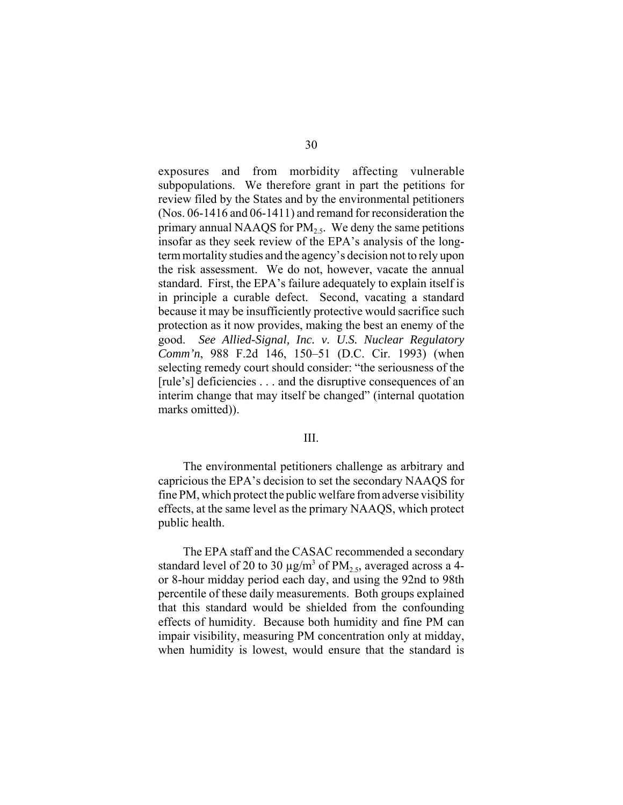exposures and from morbidity affecting vulnerable subpopulations. We therefore grant in part the petitions for review filed by the States and by the environmental petitioners (Nos. 06-1416 and 06-1411) and remand for reconsideration the primary annual NAAQS for  $PM_2$ . We deny the same petitions insofar as they seek review of the EPA's analysis of the longterm mortality studies and the agency's decision not to rely upon the risk assessment. We do not, however, vacate the annual standard. First, the EPA's failure adequately to explain itself is in principle a curable defect. Second, vacating a standard because it may be insufficiently protective would sacrifice such protection as it now provides, making the best an enemy of the good. *See Allied-Signal, Inc. v. U.S. Nuclear Regulatory Comm'n*, 988 F.2d 146, 150–51 (D.C. Cir. 1993) (when selecting remedy court should consider: "the seriousness of the [rule's] deficiencies . . . and the disruptive consequences of an interim change that may itself be changed" (internal quotation marks omitted)).

# III.

The environmental petitioners challenge as arbitrary and capricious the EPA's decision to set the secondary NAAQS for fine PM, which protect the public welfare from adverse visibility effects, at the same level as the primary NAAQS, which protect public health.

The EPA staff and the CASAC recommended a secondary standard level of 20 to 30  $\mu$ g/m<sup>3</sup> of PM<sub>2.5</sub>, averaged across a 4or 8-hour midday period each day, and using the 92nd to 98th percentile of these daily measurements. Both groups explained that this standard would be shielded from the confounding effects of humidity. Because both humidity and fine PM can impair visibility, measuring PM concentration only at midday, when humidity is lowest, would ensure that the standard is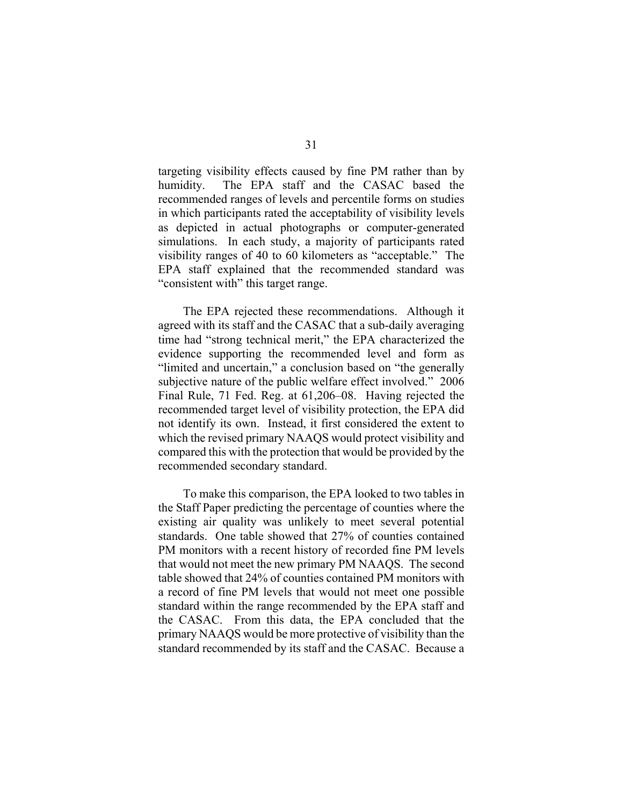targeting visibility effects caused by fine PM rather than by humidity. The EPA staff and the CASAC based the recommended ranges of levels and percentile forms on studies in which participants rated the acceptability of visibility levels as depicted in actual photographs or computer-generated simulations. In each study, a majority of participants rated visibility ranges of 40 to 60 kilometers as "acceptable." The EPA staff explained that the recommended standard was "consistent with" this target range.

The EPA rejected these recommendations. Although it agreed with its staff and the CASAC that a sub-daily averaging time had "strong technical merit," the EPA characterized the evidence supporting the recommended level and form as "limited and uncertain," a conclusion based on "the generally subjective nature of the public welfare effect involved." 2006 Final Rule, 71 Fed. Reg. at 61,206–08. Having rejected the recommended target level of visibility protection, the EPA did not identify its own. Instead, it first considered the extent to which the revised primary NAAQS would protect visibility and compared this with the protection that would be provided by the recommended secondary standard.

To make this comparison, the EPA looked to two tables in the Staff Paper predicting the percentage of counties where the existing air quality was unlikely to meet several potential standards. One table showed that 27% of counties contained PM monitors with a recent history of recorded fine PM levels that would not meet the new primary PM NAAQS. The second table showed that 24% of counties contained PM monitors with a record of fine PM levels that would not meet one possible standard within the range recommended by the EPA staff and the CASAC. From this data, the EPA concluded that the primary NAAQS would be more protective of visibility than the standard recommended by its staff and the CASAC. Because a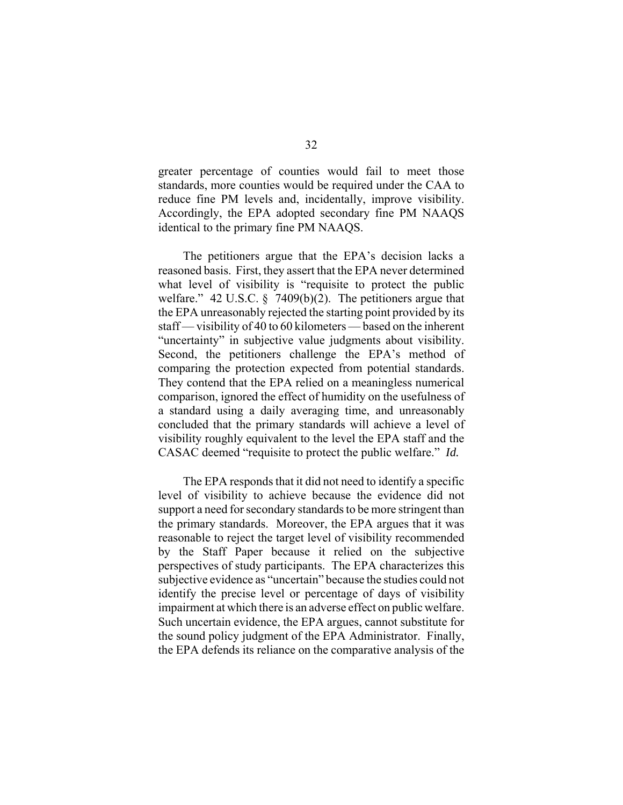greater percentage of counties would fail to meet those standards, more counties would be required under the CAA to reduce fine PM levels and, incidentally, improve visibility. Accordingly, the EPA adopted secondary fine PM NAAQS identical to the primary fine PM NAAQS.

The petitioners argue that the EPA's decision lacks a reasoned basis. First, they assert that the EPA never determined what level of visibility is "requisite to protect the public welfare." 42 U.S.C. § 7409(b)(2). The petitioners argue that the EPA unreasonably rejected the starting point provided by its staff — visibility of 40 to 60 kilometers — based on the inherent "uncertainty" in subjective value judgments about visibility. Second, the petitioners challenge the EPA's method of comparing the protection expected from potential standards. They contend that the EPA relied on a meaningless numerical comparison, ignored the effect of humidity on the usefulness of a standard using a daily averaging time, and unreasonably concluded that the primary standards will achieve a level of visibility roughly equivalent to the level the EPA staff and the CASAC deemed "requisite to protect the public welfare." *Id.*

The EPA responds that it did not need to identify a specific level of visibility to achieve because the evidence did not support a need for secondary standards to be more stringent than the primary standards. Moreover, the EPA argues that it was reasonable to reject the target level of visibility recommended by the Staff Paper because it relied on the subjective perspectives of study participants. The EPA characterizes this subjective evidence as "uncertain" because the studies could not identify the precise level or percentage of days of visibility impairment at which there is an adverse effect on public welfare. Such uncertain evidence, the EPA argues, cannot substitute for the sound policy judgment of the EPA Administrator. Finally, the EPA defends its reliance on the comparative analysis of the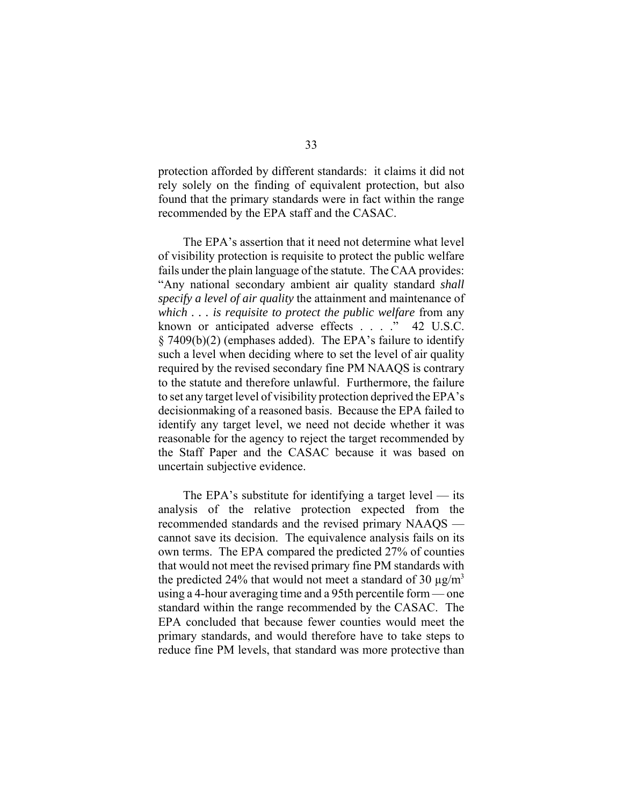protection afforded by different standards: it claims it did not rely solely on the finding of equivalent protection, but also found that the primary standards were in fact within the range recommended by the EPA staff and the CASAC.

The EPA's assertion that it need not determine what level of visibility protection is requisite to protect the public welfare fails under the plain language of the statute. The CAA provides: "Any national secondary ambient air quality standard *shall specify a level of air quality* the attainment and maintenance of *which . . . is requisite to protect the public welfare* from any known or anticipated adverse effects . . . ." 42 U.S.C. § 7409(b)(2) (emphases added). The EPA's failure to identify such a level when deciding where to set the level of air quality required by the revised secondary fine PM NAAQS is contrary to the statute and therefore unlawful. Furthermore, the failure to set any target level of visibility protection deprived the EPA's decisionmaking of a reasoned basis. Because the EPA failed to identify any target level, we need not decide whether it was reasonable for the agency to reject the target recommended by the Staff Paper and the CASAC because it was based on uncertain subjective evidence.

The EPA's substitute for identifying a target level — its analysis of the relative protection expected from the recommended standards and the revised primary NAAQS cannot save its decision. The equivalence analysis fails on its own terms. The EPA compared the predicted 27% of counties that would not meet the revised primary fine PM standards with the predicted 24% that would not meet a standard of 30  $\mu$ g/m<sup>3</sup> using a 4-hour averaging time and a 95th percentile form — one standard within the range recommended by the CASAC. The EPA concluded that because fewer counties would meet the primary standards, and would therefore have to take steps to reduce fine PM levels, that standard was more protective than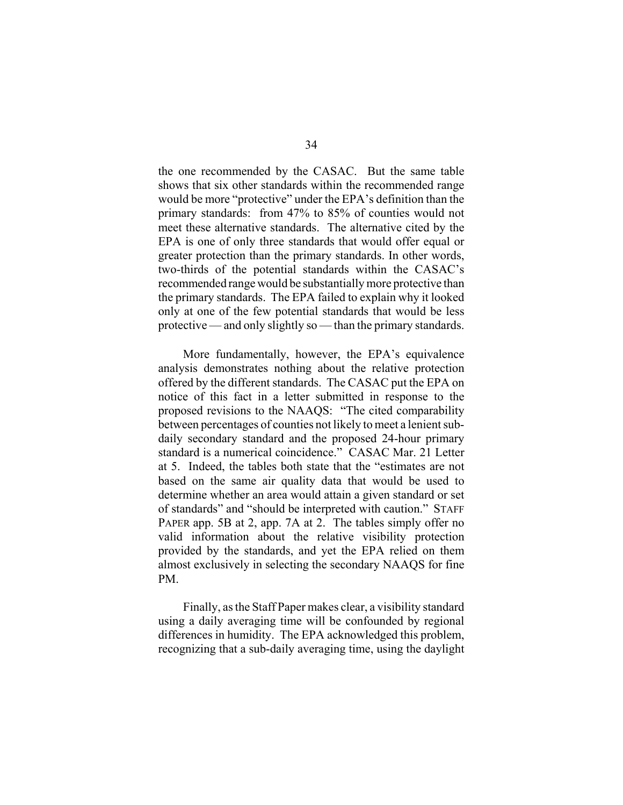the one recommended by the CASAC. But the same table shows that six other standards within the recommended range would be more "protective" under the EPA's definition than the primary standards: from 47% to 85% of counties would not meet these alternative standards. The alternative cited by the EPA is one of only three standards that would offer equal or greater protection than the primary standards. In other words, two-thirds of the potential standards within the CASAC's recommended range would be substantially more protective than the primary standards. The EPA failed to explain why it looked only at one of the few potential standards that would be less protective — and only slightly so — than the primary standards.

More fundamentally, however, the EPA's equivalence analysis demonstrates nothing about the relative protection offered by the different standards. The CASAC put the EPA on notice of this fact in a letter submitted in response to the proposed revisions to the NAAQS: "The cited comparability between percentages of counties not likely to meet a lenient subdaily secondary standard and the proposed 24-hour primary standard is a numerical coincidence." CASAC Mar. 21 Letter at 5. Indeed, the tables both state that the "estimates are not based on the same air quality data that would be used to determine whether an area would attain a given standard or set of standards" and "should be interpreted with caution." STAFF PAPER app. 5B at 2, app. 7A at 2. The tables simply offer no valid information about the relative visibility protection provided by the standards, and yet the EPA relied on them almost exclusively in selecting the secondary NAAQS for fine PM.

Finally, as the Staff Paper makes clear, a visibility standard using a daily averaging time will be confounded by regional differences in humidity. The EPA acknowledged this problem, recognizing that a sub-daily averaging time, using the daylight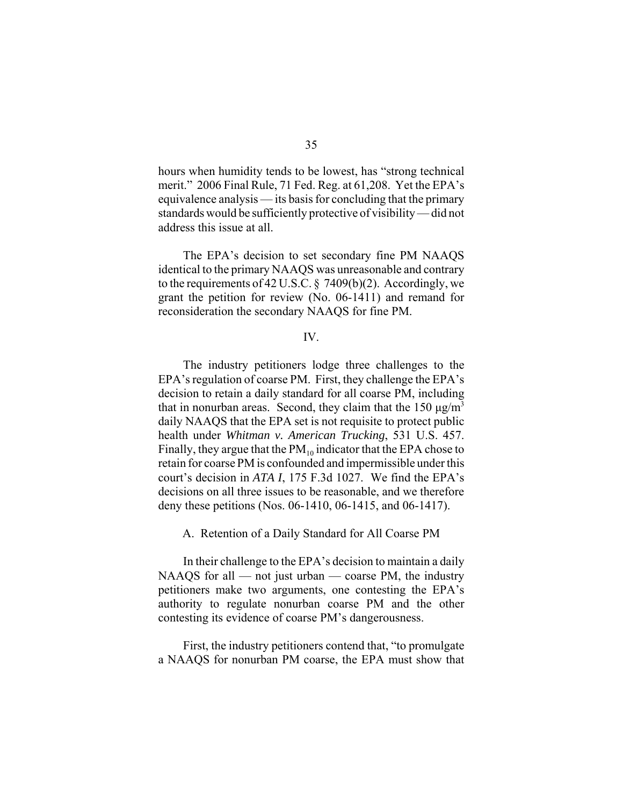hours when humidity tends to be lowest, has "strong technical merit." 2006 Final Rule, 71 Fed. Reg. at 61,208. Yet the EPA's equivalence analysis — its basis for concluding that the primary standards would be sufficiently protective of visibility — did not address this issue at all.

The EPA's decision to set secondary fine PM NAAQS identical to the primary NAAQS was unreasonable and contrary to the requirements of 42 U.S.C.  $\S$  7409(b)(2). Accordingly, we grant the petition for review (No. 06-1411) and remand for reconsideration the secondary NAAQS for fine PM.

# IV.

The industry petitioners lodge three challenges to the EPA's regulation of coarse PM. First, they challenge the EPA's decision to retain a daily standard for all coarse PM, including that in nonurban areas. Second, they claim that the 150  $\mu$ g/m<sup>3</sup> daily NAAQS that the EPA set is not requisite to protect public health under *Whitman v. American Trucking*, 531 U.S. 457. Finally, they argue that the  $PM_{10}$  indicator that the EPA chose to retain for coarse PM is confounded and impermissible under this court's decision in *ATA I*, 175 F.3d 1027. We find the EPA's decisions on all three issues to be reasonable, and we therefore deny these petitions (Nos. 06-1410, 06-1415, and 06-1417).

A. Retention of a Daily Standard for All Coarse PM

In their challenge to the EPA's decision to maintain a daily  $NAAQS$  for all — not just urban — coarse PM, the industry petitioners make two arguments, one contesting the EPA's authority to regulate nonurban coarse PM and the other contesting its evidence of coarse PM's dangerousness.

First, the industry petitioners contend that, "to promulgate a NAAQS for nonurban PM coarse, the EPA must show that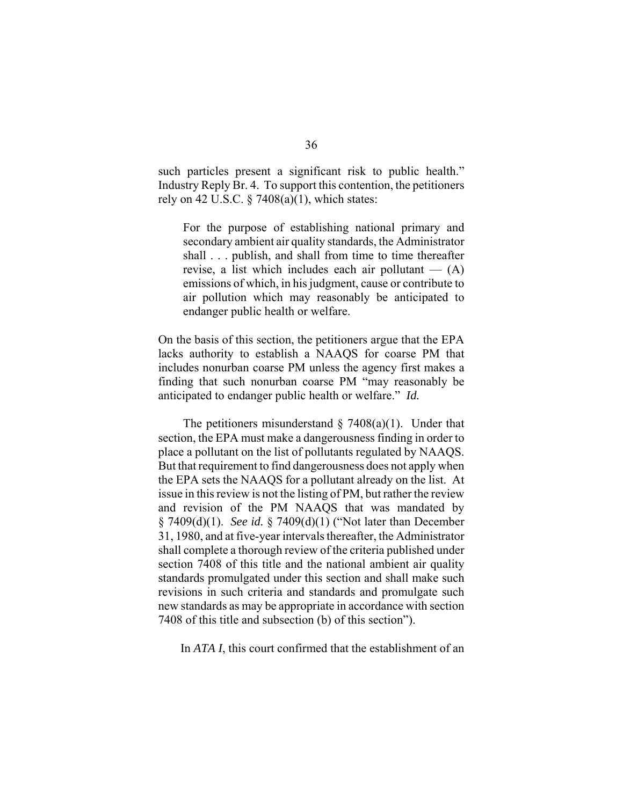such particles present a significant risk to public health." Industry Reply Br. 4. To support this contention, the petitioners rely on 42 U.S.C.  $\S$  7408(a)(1), which states:

For the purpose of establishing national primary and secondary ambient air quality standards, the Administrator shall . . . publish, and shall from time to time thereafter revise, a list which includes each air pollutant  $-$  (A) emissions of which, in his judgment, cause or contribute to air pollution which may reasonably be anticipated to endanger public health or welfare.

On the basis of this section, the petitioners argue that the EPA lacks authority to establish a NAAQS for coarse PM that includes nonurban coarse PM unless the agency first makes a finding that such nonurban coarse PM "may reasonably be anticipated to endanger public health or welfare." *Id.*

The petitioners misunderstand  $\S$  7408(a)(1). Under that section, the EPA must make a dangerousness finding in order to place a pollutant on the list of pollutants regulated by NAAQS. But that requirement to find dangerousness does not apply when the EPA sets the NAAQS for a pollutant already on the list. At issue in this review is not the listing of PM, but rather the review and revision of the PM NAAQS that was mandated by § 7409(d)(1). *See id.* § 7409(d)(1) ("Not later than December 31, 1980, and at five-year intervals thereafter, the Administrator shall complete a thorough review of the criteria published under section 7408 of this title and the national ambient air quality standards promulgated under this section and shall make such revisions in such criteria and standards and promulgate such new standards as may be appropriate in accordance with section 7408 of this title and subsection (b) of this section").

In *ATA I*, this court confirmed that the establishment of an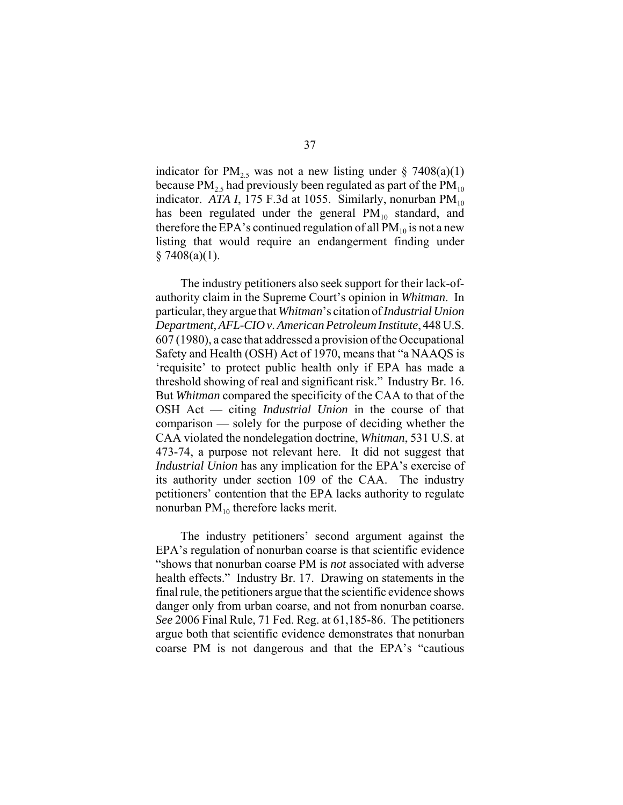indicator for  $PM_{2.5}$  was not a new listing under § 7408(a)(1) because  $PM_{2.5}$  had previously been regulated as part of the  $PM_{10}$ indicator. *ATA I*, 175 F.3d at 1055. Similarly, nonurban  $PM_{10}$ has been regulated under the general  $PM_{10}$  standard, and therefore the EPA's continued regulation of all  $PM_{10}$  is not a new listing that would require an endangerment finding under  $§ 7408(a)(1).$ 

The industry petitioners also seek support for their lack-ofauthority claim in the Supreme Court's opinion in *Whitman*. In particular, they argue that *Whitman*'s citation of *Industrial Union Department, AFL-CIO v. American Petroleum Institute*, 448 U.S. 607 (1980), a case that addressed a provision of the Occupational Safety and Health (OSH) Act of 1970, means that "a NAAQS is 'requisite' to protect public health only if EPA has made a threshold showing of real and significant risk." Industry Br. 16. But *Whitman* compared the specificity of the CAA to that of the OSH Act — citing *Industrial Union* in the course of that comparison — solely for the purpose of deciding whether the CAA violated the nondelegation doctrine, *Whitman*, 531 U.S. at 473-74, a purpose not relevant here. It did not suggest that *Industrial Union* has any implication for the EPA's exercise of its authority under section 109 of the CAA. The industry petitioners' contention that the EPA lacks authority to regulate nonurban  $PM_{10}$  therefore lacks merit.

The industry petitioners' second argument against the EPA's regulation of nonurban coarse is that scientific evidence "shows that nonurban coarse PM is *not* associated with adverse health effects." Industry Br. 17. Drawing on statements in the final rule, the petitioners argue that the scientific evidence shows danger only from urban coarse, and not from nonurban coarse. *See* 2006 Final Rule, 71 Fed. Reg. at 61,185-86. The petitioners argue both that scientific evidence demonstrates that nonurban coarse PM is not dangerous and that the EPA's "cautious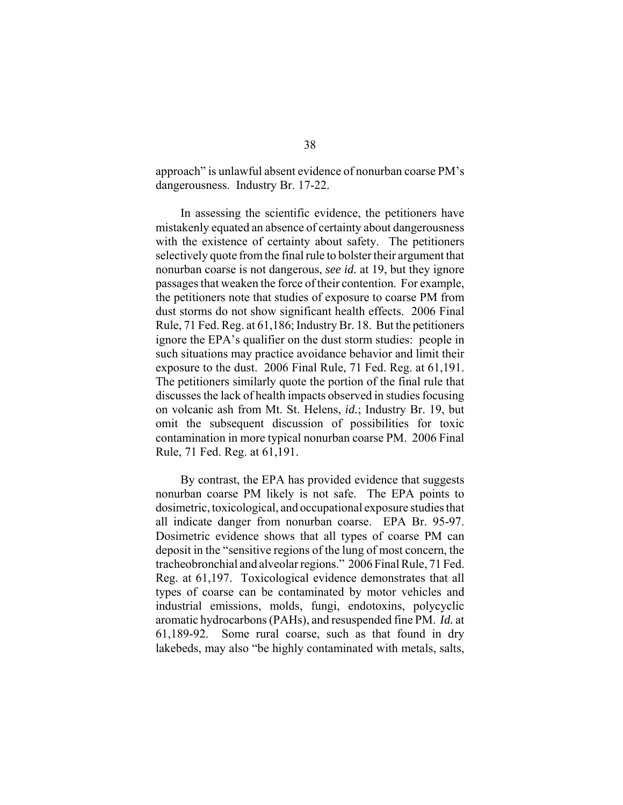approach" is unlawful absent evidence of nonurban coarse PM's dangerousness. Industry Br. 17-22.

In assessing the scientific evidence, the petitioners have mistakenly equated an absence of certainty about dangerousness with the existence of certainty about safety. The petitioners selectively quote from the final rule to bolster their argument that nonurban coarse is not dangerous, *see id.* at 19, but they ignore passages that weaken the force of their contention. For example, the petitioners note that studies of exposure to coarse PM from dust storms do not show significant health effects. 2006 Final Rule, 71 Fed. Reg. at 61,186; Industry Br. 18. But the petitioners ignore the EPA's qualifier on the dust storm studies: people in such situations may practice avoidance behavior and limit their exposure to the dust. 2006 Final Rule, 71 Fed. Reg. at 61,191. The petitioners similarly quote the portion of the final rule that discusses the lack of health impacts observed in studies focusing on volcanic ash from Mt. St. Helens, *id.*; Industry Br. 19, but omit the subsequent discussion of possibilities for toxic contamination in more typical nonurban coarse PM. 2006 Final Rule, 71 Fed. Reg. at 61,191.

By contrast, the EPA has provided evidence that suggests nonurban coarse PM likely is not safe. The EPA points to dosimetric, toxicological, and occupational exposure studies that all indicate danger from nonurban coarse. EPA Br. 95-97. Dosimetric evidence shows that all types of coarse PM can deposit in the "sensitive regions of the lung of most concern, the tracheobronchial and alveolar regions." 2006 Final Rule, 71 Fed. Reg. at 61,197. Toxicological evidence demonstrates that all types of coarse can be contaminated by motor vehicles and industrial emissions, molds, fungi, endotoxins, polycyclic aromatic hydrocarbons (PAHs), and resuspended fine PM. *Id.* at 61,189-92. Some rural coarse, such as that found in dry lakebeds, may also "be highly contaminated with metals, salts,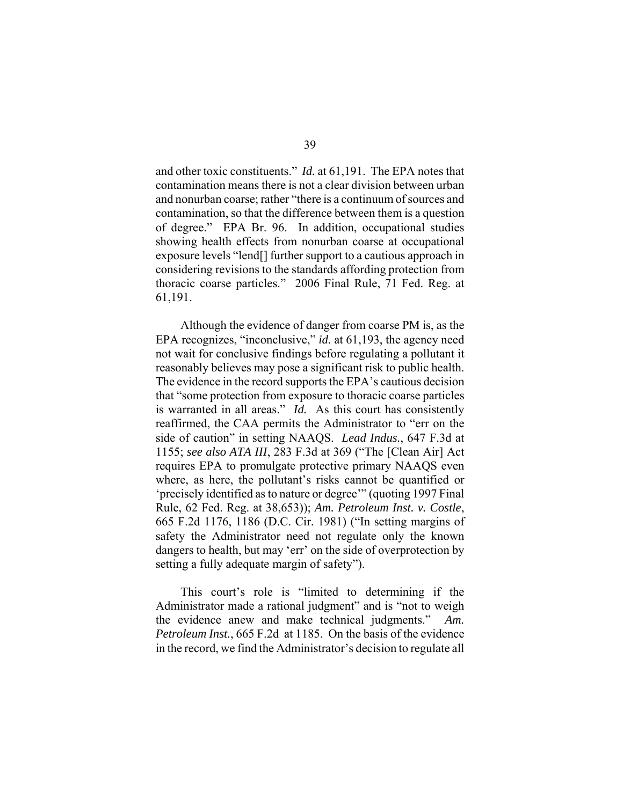and other toxic constituents." *Id.* at 61,191. The EPA notes that contamination means there is not a clear division between urban and nonurban coarse; rather "there is a continuum of sources and contamination, so that the difference between them is a question of degree." EPA Br. 96. In addition, occupational studies showing health effects from nonurban coarse at occupational exposure levels "lend[] further support to a cautious approach in considering revisions to the standards affording protection from thoracic coarse particles." 2006 Final Rule, 71 Fed. Reg. at 61,191.

Although the evidence of danger from coarse PM is, as the EPA recognizes, "inconclusive," *id.* at 61,193, the agency need not wait for conclusive findings before regulating a pollutant it reasonably believes may pose a significant risk to public health. The evidence in the record supports the EPA's cautious decision that "some protection from exposure to thoracic coarse particles is warranted in all areas." *Id.* As this court has consistently reaffirmed, the CAA permits the Administrator to "err on the side of caution" in setting NAAQS. *Lead Indus.*, 647 F.3d at 1155; *see also ATA III*, 283 F.3d at 369 ("The [Clean Air] Act requires EPA to promulgate protective primary NAAQS even where, as here, the pollutant's risks cannot be quantified or 'precisely identified as to nature or degree'" (quoting 1997 Final Rule, 62 Fed. Reg. at 38,653)); *Am. Petroleum Inst. v. Costle*, 665 F.2d 1176, 1186 (D.C. Cir. 1981) ("In setting margins of safety the Administrator need not regulate only the known dangers to health, but may 'err' on the side of overprotection by setting a fully adequate margin of safety").

This court's role is "limited to determining if the Administrator made a rational judgment" and is "not to weigh the evidence anew and make technical judgments." *Am. Petroleum Inst.*, 665 F.2d at 1185. On the basis of the evidence in the record, we find the Administrator's decision to regulate all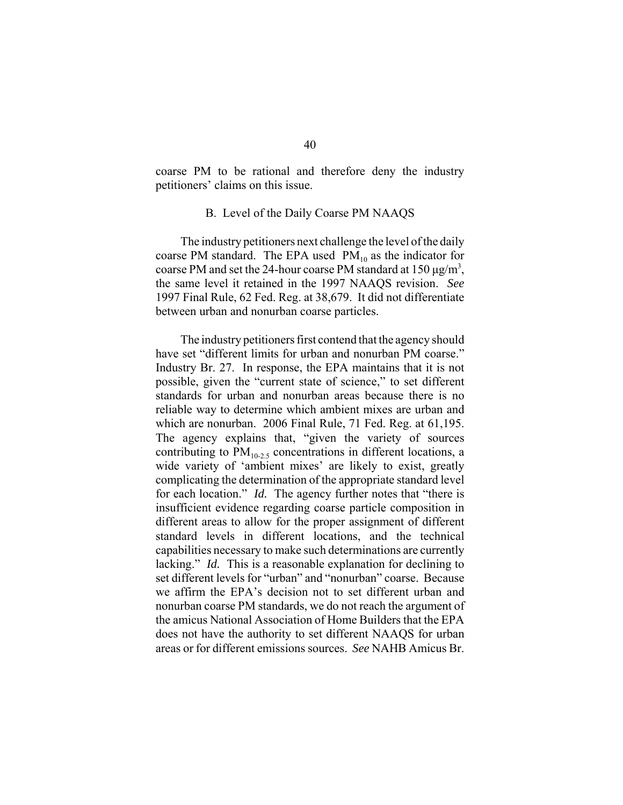coarse PM to be rational and therefore deny the industry petitioners' claims on this issue.

# B. Level of the Daily Coarse PM NAAQS

The industry petitioners next challenge the level of the daily coarse PM standard. The EPA used  $PM_{10}$  as the indicator for coarse PM and set the 24-hour coarse PM standard at  $150 \,\mathrm{\mu g/m^3}$ , the same level it retained in the 1997 NAAQS revision. *See* 1997 Final Rule, 62 Fed. Reg. at 38,679. It did not differentiate between urban and nonurban coarse particles.

The industry petitioners first contend that the agency should have set "different limits for urban and nonurban PM coarse." Industry Br. 27. In response, the EPA maintains that it is not possible, given the "current state of science," to set different standards for urban and nonurban areas because there is no reliable way to determine which ambient mixes are urban and which are nonurban. 2006 Final Rule, 71 Fed. Reg. at 61,195. The agency explains that, "given the variety of sources contributing to  $PM_{10-2.5}$  concentrations in different locations, a wide variety of 'ambient mixes' are likely to exist, greatly complicating the determination of the appropriate standard level for each location." *Id.* The agency further notes that "there is insufficient evidence regarding coarse particle composition in different areas to allow for the proper assignment of different standard levels in different locations, and the technical capabilities necessary to make such determinations are currently lacking." *Id.* This is a reasonable explanation for declining to set different levels for "urban" and "nonurban" coarse. Because we affirm the EPA's decision not to set different urban and nonurban coarse PM standards, we do not reach the argument of the amicus National Association of Home Builders that the EPA does not have the authority to set different NAAQS for urban areas or for different emissions sources. *See* NAHB Amicus Br.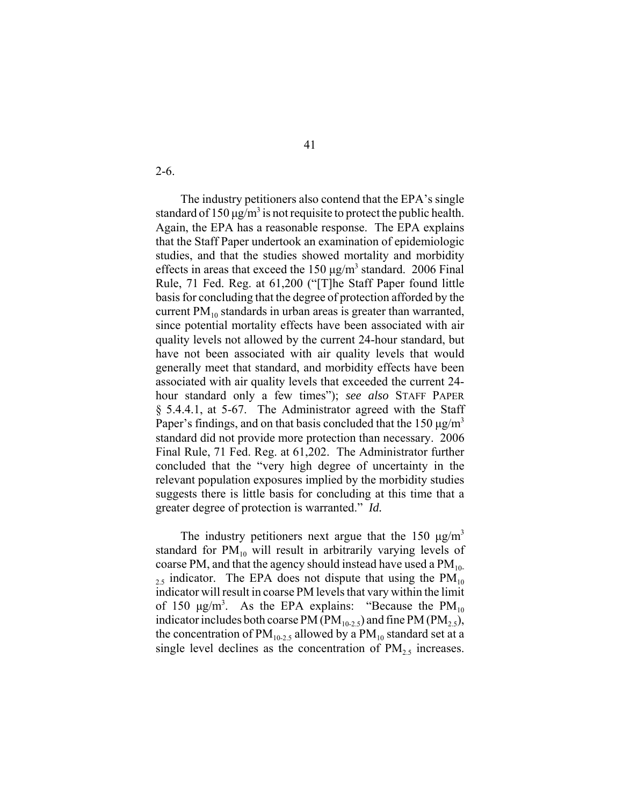2-6.

The industry petitioners also contend that the EPA's single standard of 150  $\mu$ g/m<sup>3</sup> is not requisite to protect the public health. Again, the EPA has a reasonable response. The EPA explains that the Staff Paper undertook an examination of epidemiologic studies, and that the studies showed mortality and morbidity effects in areas that exceed the  $150 \mu g/m^3$  standard. 2006 Final Rule, 71 Fed. Reg. at 61,200 ("[T]he Staff Paper found little basis for concluding that the degree of protection afforded by the current  $PM_{10}$  standards in urban areas is greater than warranted, since potential mortality effects have been associated with air quality levels not allowed by the current 24-hour standard, but have not been associated with air quality levels that would generally meet that standard, and morbidity effects have been associated with air quality levels that exceeded the current 24 hour standard only a few times"); *see also* STAFF PAPER § 5.4.4.1, at 5-67. The Administrator agreed with the Staff Paper's findings, and on that basis concluded that the 150  $\mu$ g/m<sup>3</sup> standard did not provide more protection than necessary. 2006 Final Rule, 71 Fed. Reg. at 61,202. The Administrator further concluded that the "very high degree of uncertainty in the relevant population exposures implied by the morbidity studies suggests there is little basis for concluding at this time that a greater degree of protection is warranted." *Id.*

The industry petitioners next argue that the 150  $\mu$ g/m<sup>3</sup> standard for  $PM_{10}$  will result in arbitrarily varying levels of coarse PM, and that the agency should instead have used a  $PM_{10}$  $_{2.5}$  indicator. The EPA does not dispute that using the PM<sub>10</sub> indicator will result in coarse PM levels that vary within the limit of 150  $\mu$ g/m<sup>3</sup>. As the EPA explains: "Because the PM<sub>10</sub> indicator includes both coarse PM (PM<sub>10-2.5</sub>) and fine PM (PM<sub>2.5</sub>), the concentration of  $PM_{10-2.5}$  allowed by a  $PM_{10}$  standard set at a single level declines as the concentration of  $PM<sub>2.5</sub>$  increases.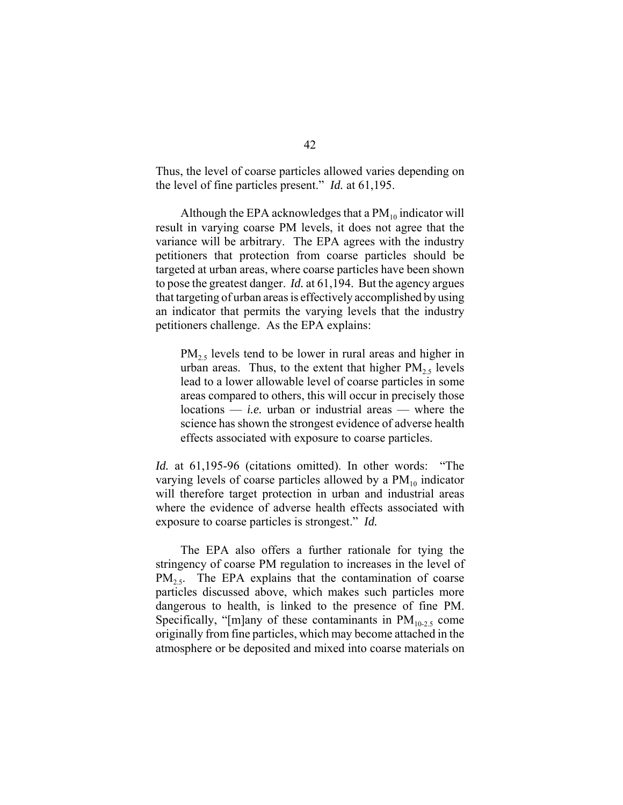Thus, the level of coarse particles allowed varies depending on the level of fine particles present." *Id.* at 61,195.

Although the EPA acknowledges that a  $PM_{10}$  indicator will result in varying coarse PM levels, it does not agree that the variance will be arbitrary. The EPA agrees with the industry petitioners that protection from coarse particles should be targeted at urban areas, where coarse particles have been shown to pose the greatest danger. *Id.* at 61,194. But the agency argues that targeting of urban areas is effectively accomplished by using an indicator that permits the varying levels that the industry petitioners challenge. As the EPA explains:

 $PM_{2.5}$  levels tend to be lower in rural areas and higher in urban areas. Thus, to the extent that higher  $PM_{2.5}$  levels lead to a lower allowable level of coarse particles in some areas compared to others, this will occur in precisely those locations — *i.e.* urban or industrial areas — where the science has shown the strongest evidence of adverse health effects associated with exposure to coarse particles.

*Id.* at 61,195-96 (citations omitted). In other words: "The varying levels of coarse particles allowed by a  $PM_{10}$  indicator will therefore target protection in urban and industrial areas where the evidence of adverse health effects associated with exposure to coarse particles is strongest." *Id.* 

The EPA also offers a further rationale for tying the stringency of coarse PM regulation to increases in the level of  $PM_{2.5}$ . The EPA explains that the contamination of coarse particles discussed above, which makes such particles more dangerous to health, is linked to the presence of fine PM. Specifically, "[m]any of these contaminants in  $PM_{10-2.5}$  come originally from fine particles, which may become attached in the atmosphere or be deposited and mixed into coarse materials on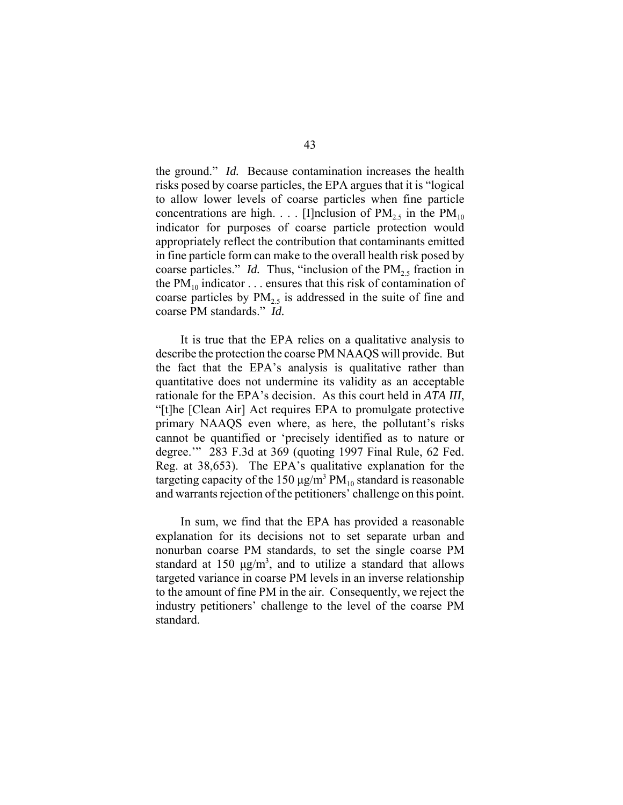the ground." *Id.* Because contamination increases the health risks posed by coarse particles, the EPA argues that it is "logical to allow lower levels of coarse particles when fine particle concentrations are high. . . . [I]nclusion of  $PM_{25}$  in the  $PM_{10}$ indicator for purposes of coarse particle protection would appropriately reflect the contribution that contaminants emitted in fine particle form can make to the overall health risk posed by coarse particles." *Id.* Thus, "inclusion of the  $PM_{2.5}$  fraction in the  $PM_{10}$  indicator . . . ensures that this risk of contamination of coarse particles by  $PM_{2.5}$  is addressed in the suite of fine and coarse PM standards." *Id.*

It is true that the EPA relies on a qualitative analysis to describe the protection the coarse PM NAAQS will provide. But the fact that the EPA's analysis is qualitative rather than quantitative does not undermine its validity as an acceptable rationale for the EPA's decision. As this court held in *ATA III*, "[t]he [Clean Air] Act requires EPA to promulgate protective primary NAAQS even where, as here, the pollutant's risks cannot be quantified or 'precisely identified as to nature or degree.'" 283 F.3d at 369 (quoting 1997 Final Rule, 62 Fed. Reg. at 38,653). The EPA's qualitative explanation for the targeting capacity of the 150  $\mu$ g/m<sup>3</sup> PM<sub>10</sub> standard is reasonable and warrants rejection of the petitioners' challenge on this point.

In sum, we find that the EPA has provided a reasonable explanation for its decisions not to set separate urban and nonurban coarse PM standards, to set the single coarse PM standard at 150  $\mu$ g/m<sup>3</sup>, and to utilize a standard that allows targeted variance in coarse PM levels in an inverse relationship to the amount of fine PM in the air. Consequently, we reject the industry petitioners' challenge to the level of the coarse PM standard.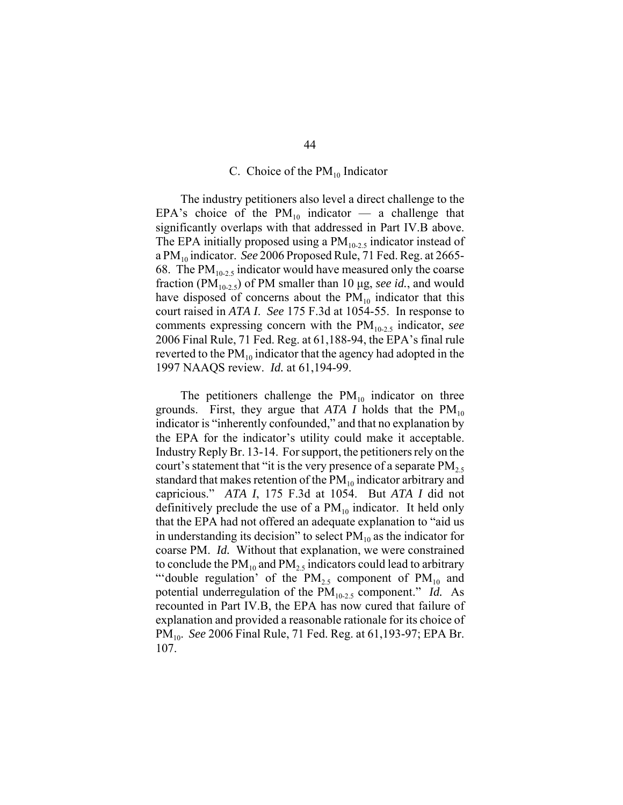#### C. Choice of the  $PM_{10}$  Indicator

The industry petitioners also level a direct challenge to the EPA's choice of the  $PM_{10}$  indicator — a challenge that significantly overlaps with that addressed in Part IV.B above. The EPA initially proposed using a  $PM_{10-2.5}$  indicator instead of a PM10 indicator. *See* 2006 Proposed Rule, 71 Fed. Reg. at 2665- 68. The  $PM_{10-2.5}$  indicator would have measured only the coarse fraction ( $PM_{10-2.5}$ ) of PM smaller than 10  $\mu$ g, *see id.*, and would have disposed of concerns about the  $PM_{10}$  indicator that this court raised in *ATA I*. *See* 175 F.3d at 1054-55. In response to comments expressing concern with the PM<sub>10-2.5</sub> indicator, *see* 2006 Final Rule, 71 Fed. Reg. at 61,188-94, the EPA's final rule reverted to the  $PM_{10}$  indicator that the agency had adopted in the 1997 NAAQS review. *Id.* at 61,194-99.

The petitioners challenge the  $PM_{10}$  indicator on three grounds. First, they argue that *ATA I* holds that the  $PM_{10}$ indicator is "inherently confounded," and that no explanation by the EPA for the indicator's utility could make it acceptable. Industry Reply Br. 13-14. For support, the petitioners rely on the court's statement that "it is the very presence of a separate  $PM_{2.5}$ standard that makes retention of the  $PM_{10}$  indicator arbitrary and capricious." *ATA I*, 175 F.3d at 1054. But *ATA I* did not definitively preclude the use of a  $PM_{10}$  indicator. It held only that the EPA had not offered an adequate explanation to "aid us in understanding its decision" to select  $PM_{10}$  as the indicator for coarse PM. *Id.* Without that explanation, we were constrained to conclude the  $PM_{10}$  and  $PM_{25}$  indicators could lead to arbitrary "'double regulation' of the  $PM_{2.5}$  component of  $PM_{10}$  and potential underregulation of the PM<sub>10-2.5</sub> component." *Id.* As recounted in Part IV.B, the EPA has now cured that failure of explanation and provided a reasonable rationale for its choice of PM10. *See* 2006 Final Rule, 71 Fed. Reg. at 61,193-97; EPA Br. 107.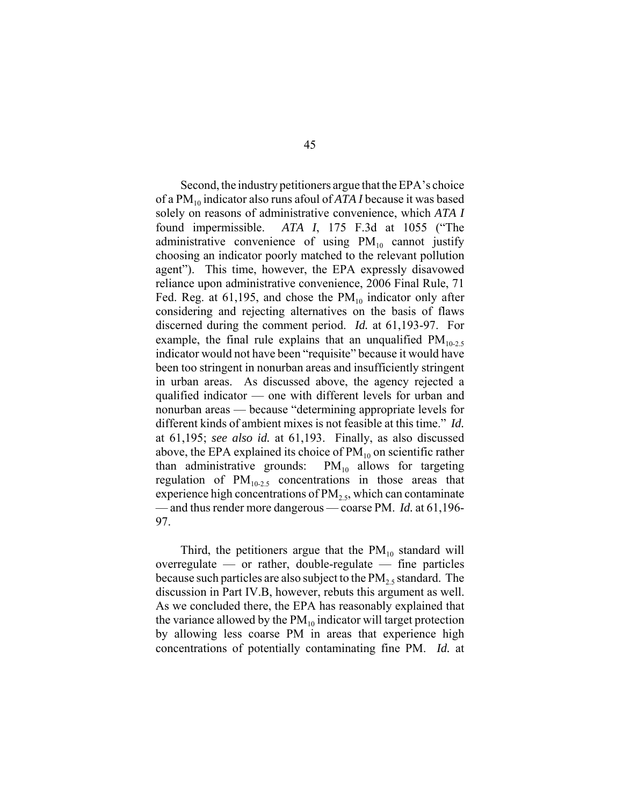Second, the industry petitioners argue that the EPA's choice of a PM<sub>10</sub> indicator also runs afoul of *ATA I* because it was based solely on reasons of administrative convenience, which *ATA I* found impermissible. *ATA I*, 175 F.3d at 1055 ("The administrative convenience of using  $PM_{10}$  cannot justify choosing an indicator poorly matched to the relevant pollution agent"). This time, however, the EPA expressly disavowed reliance upon administrative convenience, 2006 Final Rule, 71 Fed. Reg. at 61,195, and chose the  $PM_{10}$  indicator only after considering and rejecting alternatives on the basis of flaws discerned during the comment period. *Id.* at 61,193-97. For example, the final rule explains that an unqualified  $PM_{10-2.5}$ indicator would not have been "requisite" because it would have been too stringent in nonurban areas and insufficiently stringent in urban areas. As discussed above, the agency rejected a qualified indicator — one with different levels for urban and nonurban areas — because "determining appropriate levels for different kinds of ambient mixes is not feasible at this time." *Id.* at 61,195; *see also id.* at 61,193. Finally, as also discussed above, the EPA explained its choice of  $PM_{10}$  on scientific rather than administrative grounds:  $PM_{10}$  allows for targeting regulation of  $PM_{10-2.5}$  concentrations in those areas that experience high concentrations of  $PM<sub>2.5</sub>$ , which can contaminate — and thus render more dangerous — coarse PM. *Id.* at 61,196- 97.

Third, the petitioners argue that the  $PM_{10}$  standard will overregulate — or rather, double-regulate — fine particles because such particles are also subject to the  $PM<sub>2.5</sub>$  standard. The discussion in Part IV.B, however, rebuts this argument as well. As we concluded there, the EPA has reasonably explained that the variance allowed by the  $PM_{10}$  indicator will target protection by allowing less coarse PM in areas that experience high concentrations of potentially contaminating fine PM. *Id.* at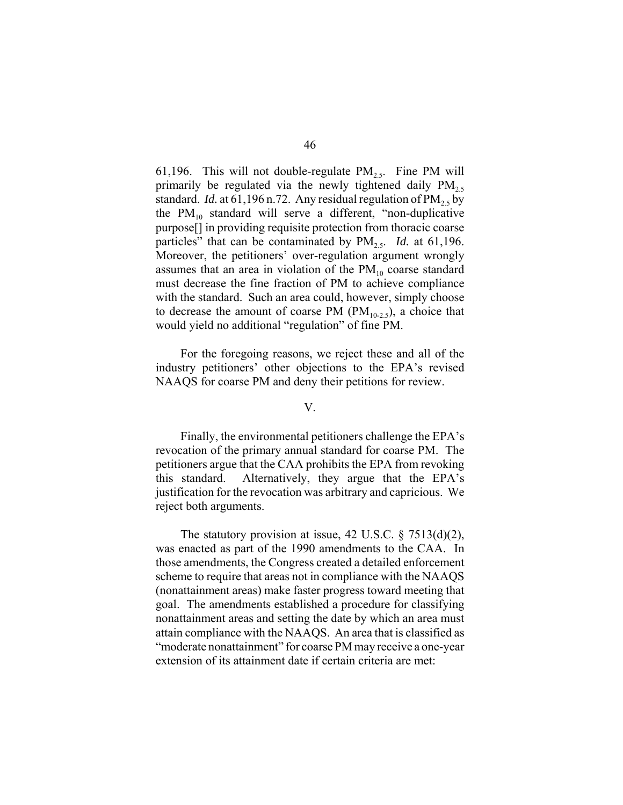61,196. This will not double-regulate  $PM_{2.5}$ . Fine PM will primarily be regulated via the newly tightened daily  $PM_{2,5}$ standard. *Id.* at 61,196 n.72. Any residual regulation of  $PM_2$ , by the  $PM_{10}$  standard will serve a different, "non-duplicative purpose[] in providing requisite protection from thoracic coarse particles" that can be contaminated by  $PM_{2.5}$ . *Id.* at 61,196. Moreover, the petitioners' over-regulation argument wrongly assumes that an area in violation of the  $PM_{10}$  coarse standard must decrease the fine fraction of PM to achieve compliance with the standard. Such an area could, however, simply choose to decrease the amount of coarse PM  $(PM_{10-2.5})$ , a choice that would yield no additional "regulation" of fine PM.

For the foregoing reasons, we reject these and all of the industry petitioners' other objections to the EPA's revised NAAQS for coarse PM and deny their petitions for review.

#### V.

Finally, the environmental petitioners challenge the EPA's revocation of the primary annual standard for coarse PM. The petitioners argue that the CAA prohibits the EPA from revoking this standard. Alternatively, they argue that the EPA's justification for the revocation was arbitrary and capricious. We reject both arguments.

The statutory provision at issue, 42 U.S.C. § 7513(d)(2), was enacted as part of the 1990 amendments to the CAA. In those amendments, the Congress created a detailed enforcement scheme to require that areas not in compliance with the NAAQS (nonattainment areas) make faster progress toward meeting that goal. The amendments established a procedure for classifying nonattainment areas and setting the date by which an area must attain compliance with the NAAQS. An area that is classified as "moderate nonattainment" for coarse PM may receive a one-year extension of its attainment date if certain criteria are met: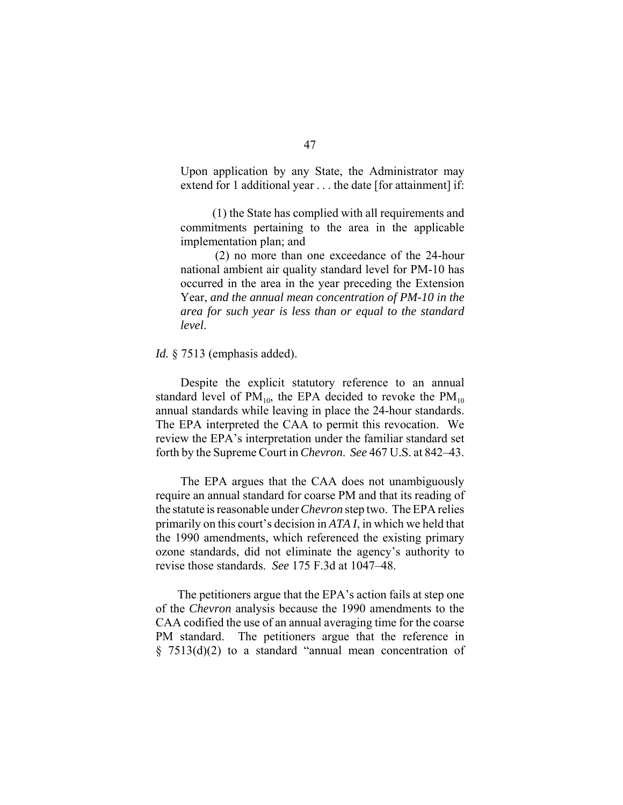Upon application by any State, the Administrator may extend for 1 additional year . . . the date [for attainment] if:

 (1) the State has complied with all requirements and commitments pertaining to the area in the applicable implementation plan; and

(2) no more than one exceedance of the 24-hour national ambient air quality standard level for PM-10 has occurred in the area in the year preceding the Extension Year, *and the annual mean concentration of PM-10 in the area for such year is less than or equal to the standard level*.

#### *Id.* § 7513 (emphasis added).

Despite the explicit statutory reference to an annual standard level of  $PM_{10}$ , the EPA decided to revoke the  $PM_{10}$ annual standards while leaving in place the 24-hour standards. The EPA interpreted the CAA to permit this revocation. We review the EPA's interpretation under the familiar standard set forth by the Supreme Court in *Chevron*. *See* 467 U.S. at 842–43.

The EPA argues that the CAA does not unambiguously require an annual standard for coarse PM and that its reading of the statute is reasonable under *Chevron* step two. The EPA relies primarily on this court's decision in *ATA I*, in which we held that the 1990 amendments, which referenced the existing primary ozone standards, did not eliminate the agency's authority to revise those standards. *See* 175 F.3d at 1047–48.

The petitioners argue that the EPA's action fails at step one of the *Chevron* analysis because the 1990 amendments to the CAA codified the use of an annual averaging time for the coarse PM standard. The petitioners argue that the reference in § 7513(d)(2) to a standard "annual mean concentration of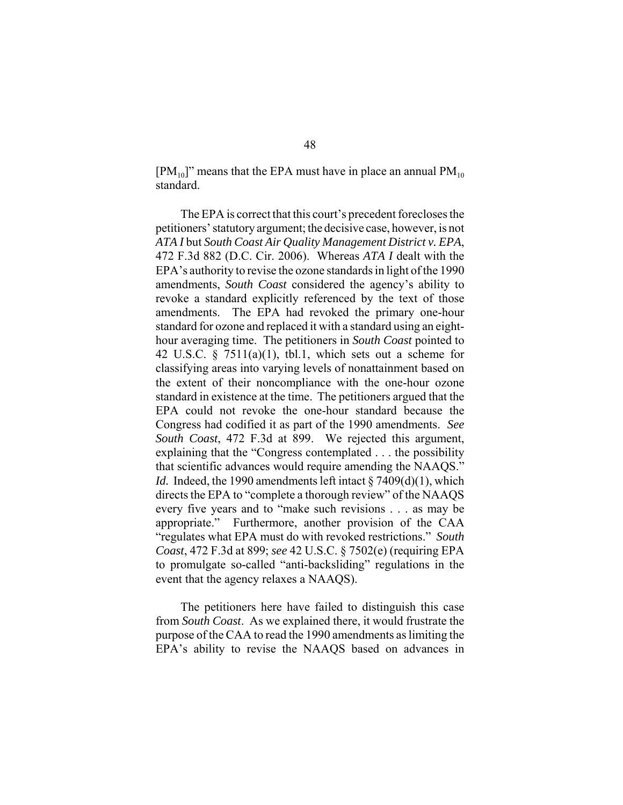$[PM_{10}]$ " means that the EPA must have in place an annual  $PM_{10}$ standard.

The EPA is correct that this court's precedent forecloses the petitioners' statutory argument; the decisive case, however, is not *ATA I* but *South Coast Air Quality Management District v. EPA*, 472 F.3d 882 (D.C. Cir. 2006). Whereas *ATA I* dealt with the EPA's authority to revise the ozone standards in light of the 1990 amendments, *South Coast* considered the agency's ability to revoke a standard explicitly referenced by the text of those amendments. The EPA had revoked the primary one-hour standard for ozone and replaced it with a standard using an eighthour averaging time. The petitioners in *South Coast* pointed to 42 U.S.C.  $\S$  7511(a)(1), tbl.1, which sets out a scheme for classifying areas into varying levels of nonattainment based on the extent of their noncompliance with the one-hour ozone standard in existence at the time. The petitioners argued that the EPA could not revoke the one-hour standard because the Congress had codified it as part of the 1990 amendments. *See South Coast*, 472 F.3d at 899. We rejected this argument, explaining that the "Congress contemplated . . . the possibility that scientific advances would require amending the NAAQS." *Id.* Indeed, the 1990 amendments left intact § 7409(d)(1), which directs the EPA to "complete a thorough review" of the NAAQS every five years and to "make such revisions . . . as may be appropriate." Furthermore, another provision of the CAA "regulates what EPA must do with revoked restrictions." *South Coast*, 472 F.3d at 899; *see* 42 U.S.C. § 7502(e) (requiring EPA to promulgate so-called "anti-backsliding" regulations in the event that the agency relaxes a NAAQS).

The petitioners here have failed to distinguish this case from *South Coast*. As we explained there, it would frustrate the purpose of the CAA to read the 1990 amendments as limiting the EPA's ability to revise the NAAQS based on advances in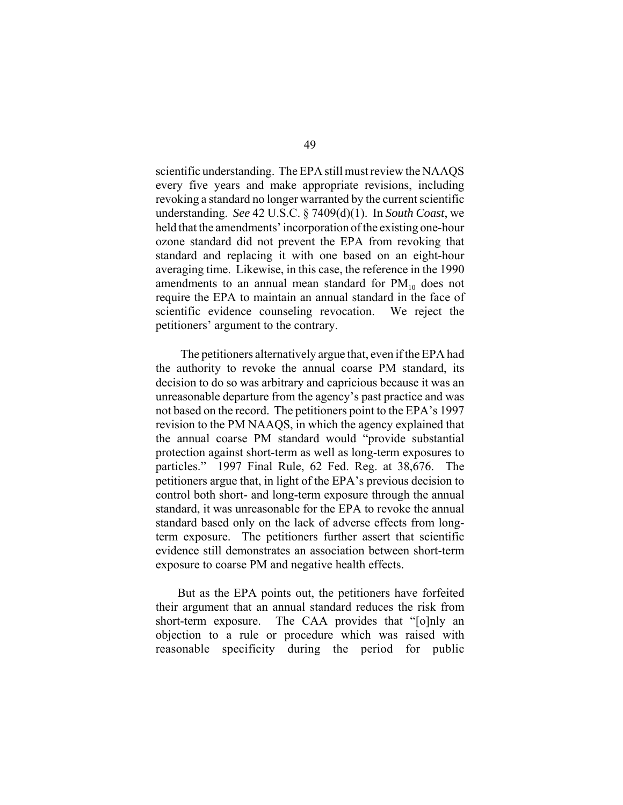scientific understanding. The EPA still must review the NAAQS every five years and make appropriate revisions, including revoking a standard no longer warranted by the current scientific understanding. *See* 42 U.S.C. § 7409(d)(1). In *South Coast*, we held that the amendments' incorporation of the existing one-hour ozone standard did not prevent the EPA from revoking that standard and replacing it with one based on an eight-hour averaging time. Likewise, in this case, the reference in the 1990 amendments to an annual mean standard for  $PM_{10}$  does not require the EPA to maintain an annual standard in the face of scientific evidence counseling revocation. We reject the petitioners' argument to the contrary.

The petitioners alternatively argue that, even if the EPA had the authority to revoke the annual coarse PM standard, its decision to do so was arbitrary and capricious because it was an unreasonable departure from the agency's past practice and was not based on the record. The petitioners point to the EPA's 1997 revision to the PM NAAQS, in which the agency explained that the annual coarse PM standard would "provide substantial protection against short-term as well as long-term exposures to particles." 1997 Final Rule, 62 Fed. Reg. at 38,676. The petitioners argue that, in light of the EPA's previous decision to control both short- and long-term exposure through the annual standard, it was unreasonable for the EPA to revoke the annual standard based only on the lack of adverse effects from longterm exposure. The petitioners further assert that scientific evidence still demonstrates an association between short-term exposure to coarse PM and negative health effects.

But as the EPA points out, the petitioners have forfeited their argument that an annual standard reduces the risk from short-term exposure. The CAA provides that "[o]nly an objection to a rule or procedure which was raised with reasonable specificity during the period for public